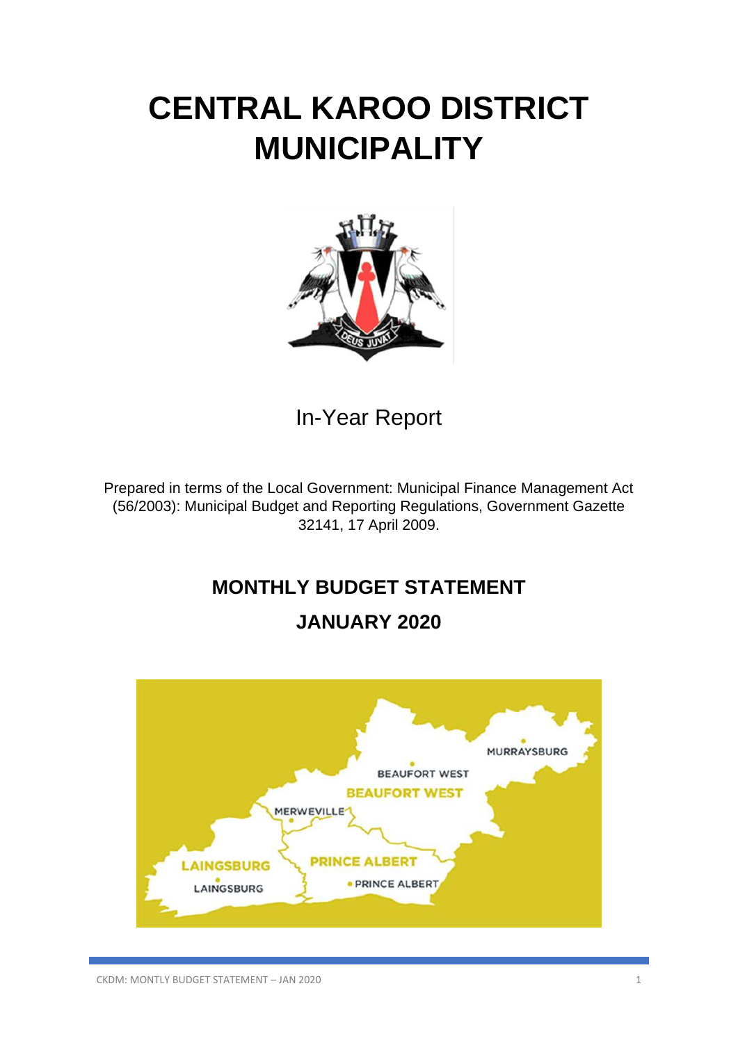# **CENTRAL KAROO DISTRICT MUNICIPALITY**



In-Year Report

Prepared in terms of the Local Government: Municipal Finance Management Act (56/2003): Municipal Budget and Reporting Regulations, Government Gazette 32141, 17 April 2009.

# **MONTHLY BUDGET STATEMENT**

# **JANUARY 2020**

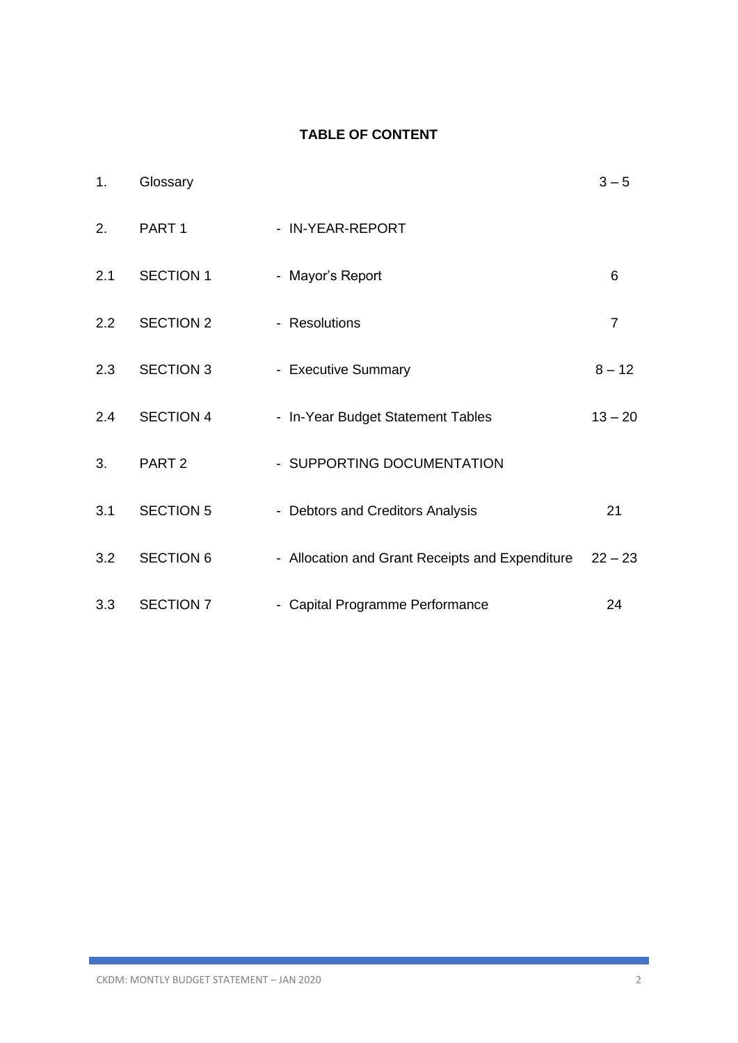### **TABLE OF CONTENT**

| 1.            | Glossary          |                                                 | $3 - 5$        |
|---------------|-------------------|-------------------------------------------------|----------------|
| 2.            | PART <sub>1</sub> | - IN-YEAR-REPORT                                |                |
| 2.1           | <b>SECTION 1</b>  | - Mayor's Report                                | 6              |
| $2.2^{\circ}$ | <b>SECTION 2</b>  | - Resolutions                                   | $\overline{7}$ |
| 2.3           | <b>SECTION 3</b>  | - Executive Summary                             | $8 - 12$       |
| 2.4           | <b>SECTION 4</b>  | - In-Year Budget Statement Tables               | $13 - 20$      |
| 3.            | PART <sub>2</sub> | - SUPPORTING DOCUMENTATION                      |                |
| 3.1           | <b>SECTION 5</b>  | - Debtors and Creditors Analysis                | 21             |
| 3.2           | <b>SECTION 6</b>  | - Allocation and Grant Receipts and Expenditure | $22 - 23$      |
| 3.3           | <b>SECTION 7</b>  | - Capital Programme Performance                 | 24             |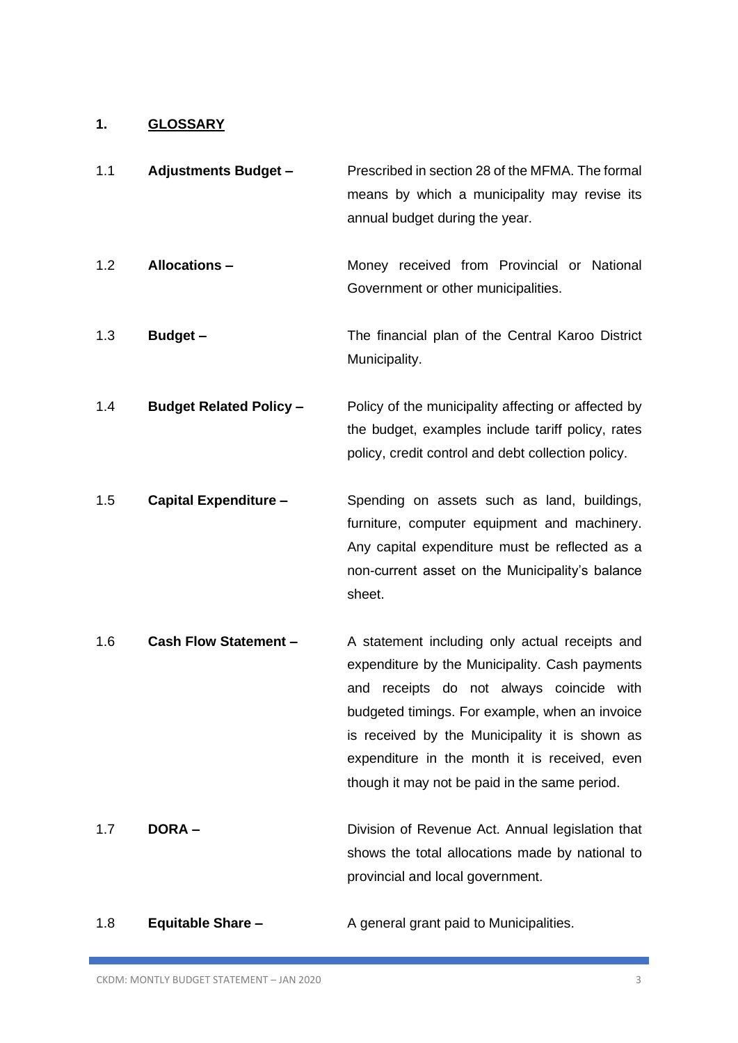### **1. GLOSSARY**

| 1.1 | <b>Adjustments Budget -</b>    | Prescribed in section 28 of the MFMA. The formal<br>means by which a municipality may revise its<br>annual budget during the year.                                                                                                                                                                                                                    |
|-----|--------------------------------|-------------------------------------------------------------------------------------------------------------------------------------------------------------------------------------------------------------------------------------------------------------------------------------------------------------------------------------------------------|
| 1.2 | <b>Allocations -</b>           | Money received from Provincial or National<br>Government or other municipalities.                                                                                                                                                                                                                                                                     |
| 1.3 | <b>Budget -</b>                | The financial plan of the Central Karoo District<br>Municipality.                                                                                                                                                                                                                                                                                     |
| 1.4 | <b>Budget Related Policy -</b> | Policy of the municipality affecting or affected by<br>the budget, examples include tariff policy, rates<br>policy, credit control and debt collection policy.                                                                                                                                                                                        |
| 1.5 | <b>Capital Expenditure -</b>   | Spending on assets such as land, buildings,<br>furniture, computer equipment and machinery.<br>Any capital expenditure must be reflected as a<br>non-current asset on the Municipality's balance<br>sheet.                                                                                                                                            |
| 1.6 | <b>Cash Flow Statement -</b>   | A statement including only actual receipts and<br>expenditure by the Municipality. Cash payments<br>receipts do not always coincide with<br>and<br>budgeted timings. For example, when an invoice<br>is received by the Municipality it is shown as<br>expenditure in the month it is received, even<br>though it may not be paid in the same period. |
| 1.7 | <b>DORA-</b>                   | Division of Revenue Act. Annual legislation that<br>shows the total allocations made by national to<br>provincial and local government.                                                                                                                                                                                                               |

1.8 **Equitable Share –** A general grant paid to Municipalities.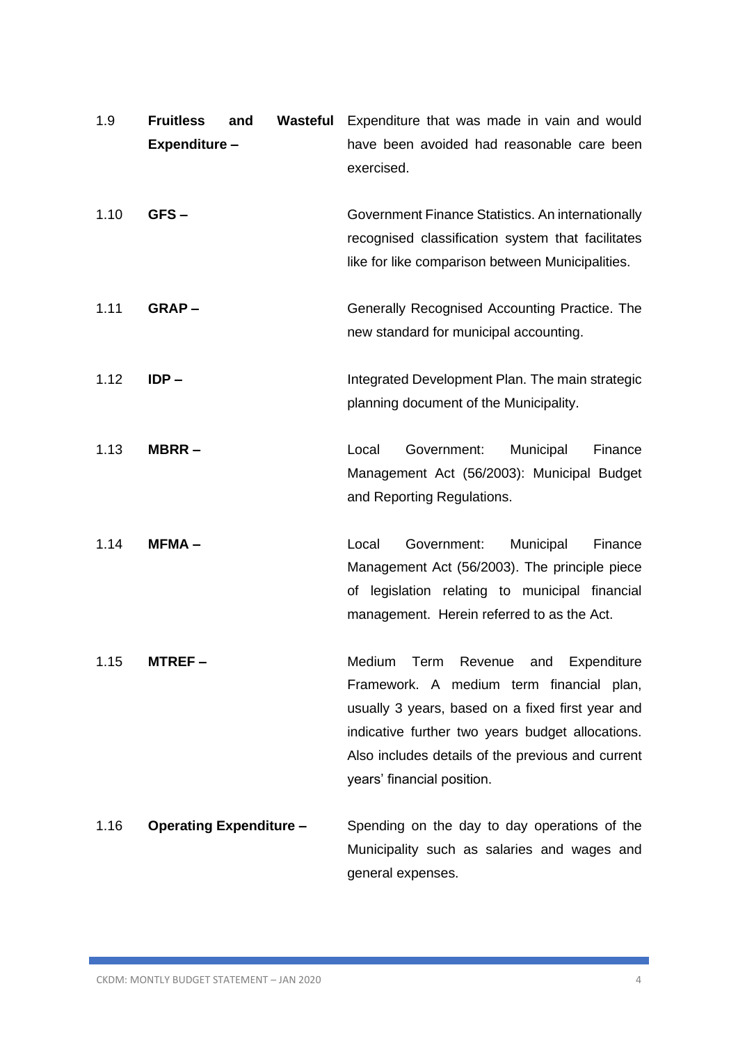| 1.9  | <b>Fruitless</b><br>Expenditure - | and | Wasteful | Expenditure that was made in vain and would<br>have been avoided had reasonable care been<br>exercised.                                                                                                                                                                       |
|------|-----------------------------------|-----|----------|-------------------------------------------------------------------------------------------------------------------------------------------------------------------------------------------------------------------------------------------------------------------------------|
| 1.10 | GFS-                              |     |          | Government Finance Statistics. An internationally<br>recognised classification system that facilitates<br>like for like comparison between Municipalities.                                                                                                                    |
| 1.11 | $GRAP -$                          |     |          | Generally Recognised Accounting Practice. The<br>new standard for municipal accounting.                                                                                                                                                                                       |
| 1.12 | $IDP -$                           |     |          | Integrated Development Plan. The main strategic<br>planning document of the Municipality.                                                                                                                                                                                     |
| 1.13 | MBRR-                             |     |          | Local<br>Government:<br>Municipal<br>Finance<br>Management Act (56/2003): Municipal Budget<br>and Reporting Regulations.                                                                                                                                                      |
| 1.14 | $MFMA -$                          |     |          | Government:<br>Local<br>Municipal<br>Finance<br>Management Act (56/2003). The principle piece<br>of legislation relating to municipal financial<br>management. Herein referred to as the Act.                                                                                 |
| 1.15 | MTREF –                           |     |          | Term Revenue and Expenditure<br>Medium<br>Framework. A medium term financial plan,<br>usually 3 years, based on a fixed first year and<br>indicative further two years budget allocations.<br>Also includes details of the previous and current<br>years' financial position. |
| 1.16 | <b>Operating Expenditure -</b>    |     |          | Spending on the day to day operations of the<br>Municipality such as salaries and wages and<br>general expenses.                                                                                                                                                              |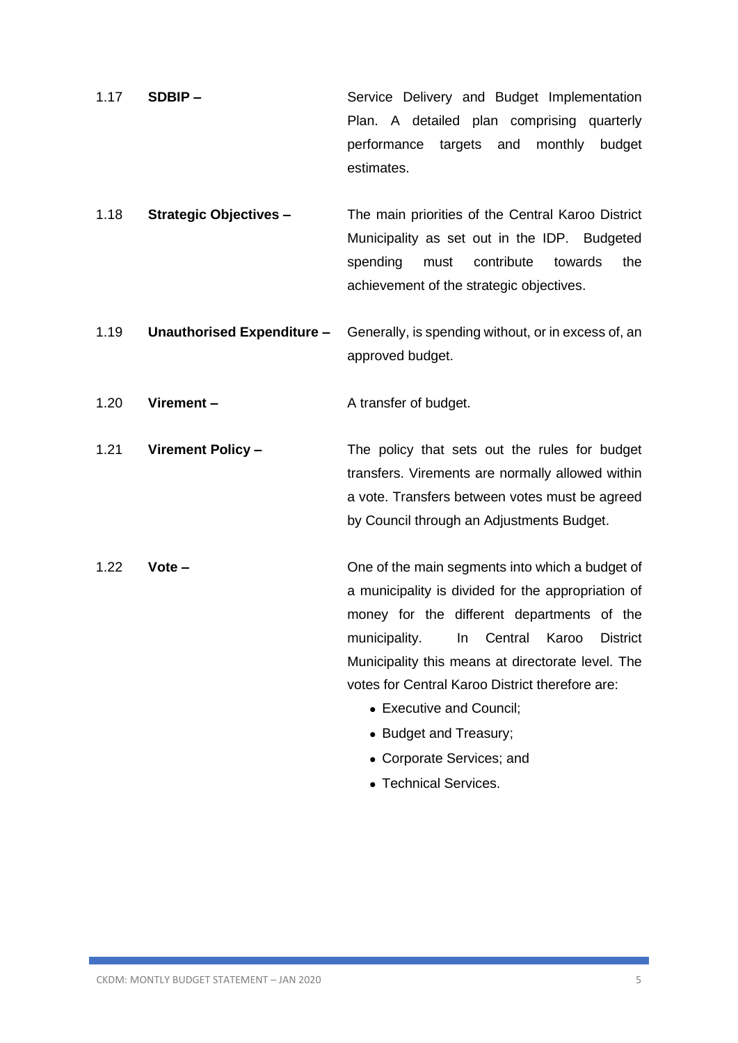- 1.17 **SDBIP –** Service Delivery and Budget Implementation Plan. A detailed plan comprising quarterly performance targets and monthly budget estimates.
- 1.18 **Strategic Objectives –** The main priorities of the Central Karoo District Municipality as set out in the IDP. Budgeted spending must contribute towards the achievement of the strategic objectives.
- 1.19 **Unauthorised Expenditure –** Generally, is spending without, or in excess of, an approved budget.

1.20 **Virement –** A transfer of budget.

1.21 **Virement Policy –** The policy that sets out the rules for budget transfers. Virements are normally allowed within a vote. Transfers between votes must be agreed by Council through an Adjustments Budget.

- 1.22 **Vote –** One of the main segments into which a budget of a municipality is divided for the appropriation of money for the different departments of the municipality. In Central Karoo District Municipality this means at directorate level. The votes for Central Karoo District therefore are:
	- Executive and Council:
	- Budget and Treasury;
	- Corporate Services; and
	- Technical Services.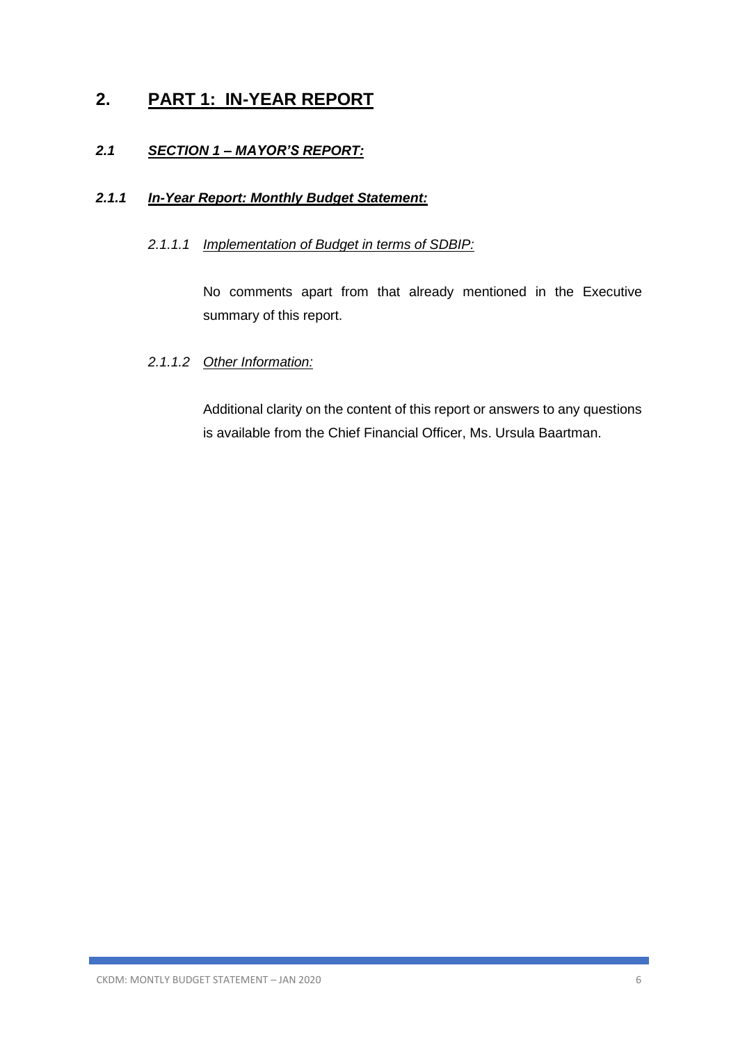# **2. PART 1: IN-YEAR REPORT**

### *2.1 SECTION 1 – MAYOR'S REPORT:*

### *2.1.1 In-Year Report: Monthly Budget Statement:*

### *2.1.1.1 Implementation of Budget in terms of SDBIP:*

No comments apart from that already mentioned in the Executive summary of this report.

### *2.1.1.2 Other Information:*

Additional clarity on the content of this report or answers to any questions is available from the Chief Financial Officer, Ms. Ursula Baartman.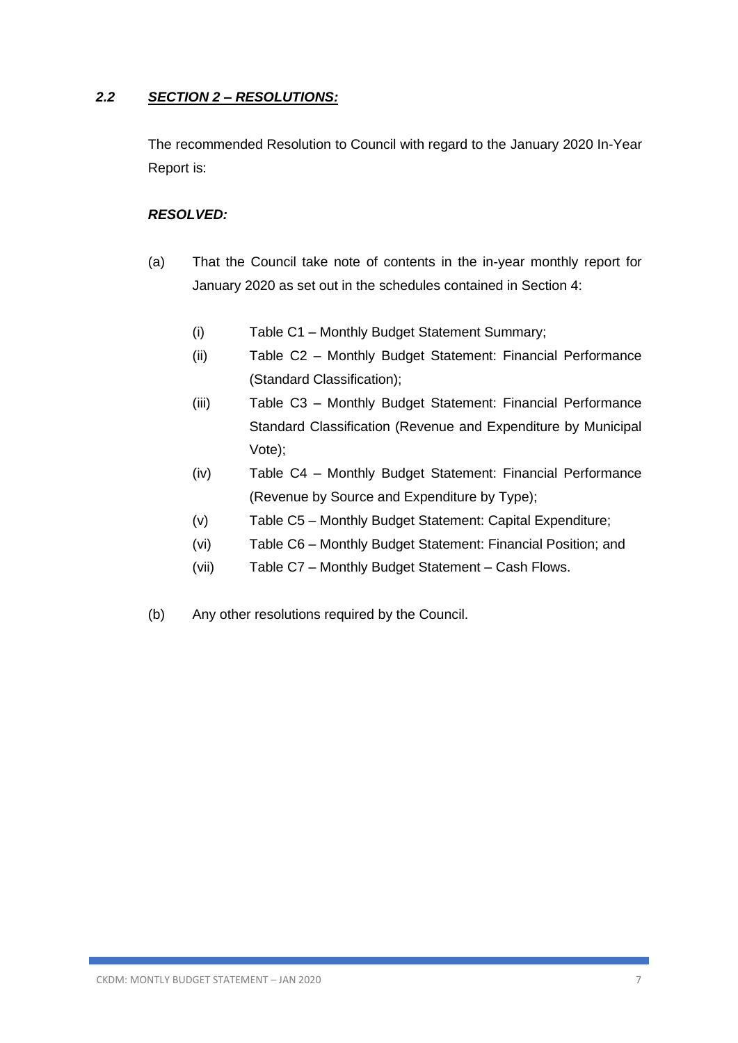### *2.2 SECTION 2 – RESOLUTIONS:*

The recommended Resolution to Council with regard to the January 2020 In-Year Report is:

### *RESOLVED:*

- (a) That the Council take note of contents in the in-year monthly report for January 2020 as set out in the schedules contained in Section 4:
	- (i) Table C1 Monthly Budget Statement Summary;
	- (ii) Table C2 Monthly Budget Statement: Financial Performance (Standard Classification);
	- (iii) Table C3 Monthly Budget Statement: Financial Performance Standard Classification (Revenue and Expenditure by Municipal Vote);
	- (iv) Table C4 Monthly Budget Statement: Financial Performance (Revenue by Source and Expenditure by Type);
	- (v) Table C5 Monthly Budget Statement: Capital Expenditure;
	- (vi) Table C6 Monthly Budget Statement: Financial Position; and
	- (vii) Table C7 Monthly Budget Statement Cash Flows.
- (b) Any other resolutions required by the Council.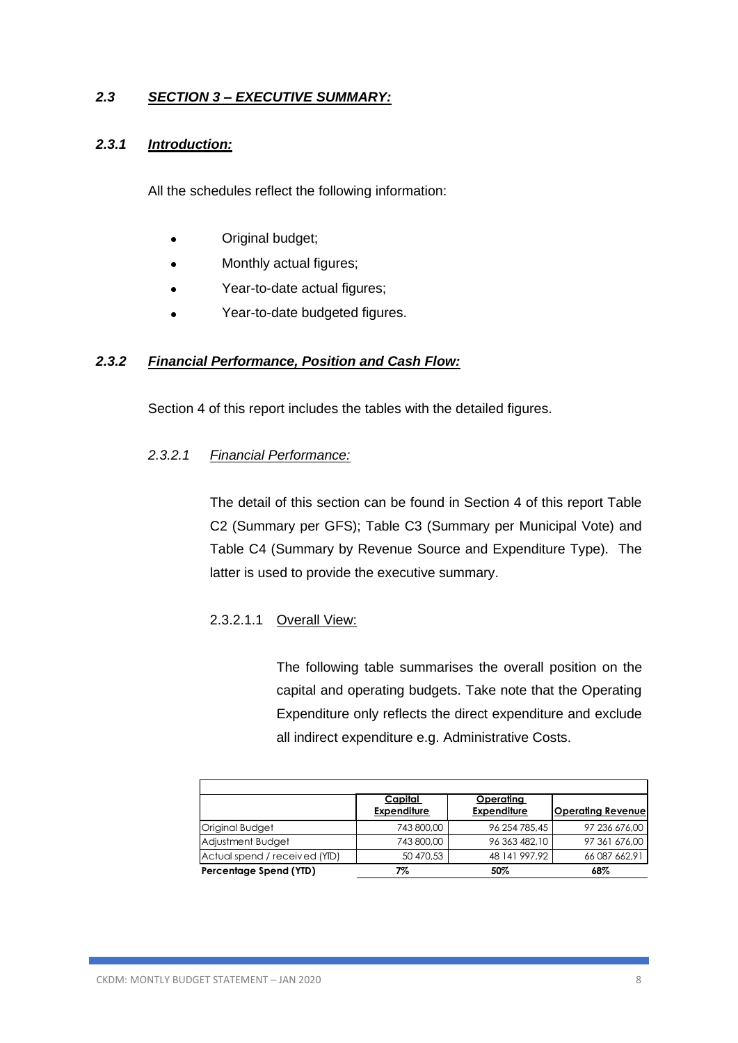### *2.3 SECTION 3 – EXECUTIVE SUMMARY:*

### *2.3.1 Introduction:*

All the schedules reflect the following information:

- Original budget;
- Monthly actual figures;
- Year-to-date actual figures;
- Year-to-date budgeted figures.

### *2.3.2 Financial Performance, Position and Cash Flow:*

Section 4 of this report includes the tables with the detailed figures.

### *2.3.2.1 Financial Performance:*

The detail of this section can be found in Section 4 of this report Table C2 (Summary per GFS); Table C3 (Summary per Municipal Vote) and Table C4 (Summary by Revenue Source and Expenditure Type). The latter is used to provide the executive summary.

### 2.3.2.1.1 Overall View:

The following table summarises the overall position on the capital and operating budgets. Take note that the Operating Expenditure only reflects the direct expenditure and exclude all indirect expenditure e.g. Administrative Costs.

|                               | Capital            | Operating          |                          |
|-------------------------------|--------------------|--------------------|--------------------------|
|                               | <b>Expenditure</b> | <b>Expenditure</b> | <b>Operating Revenue</b> |
| Original Budget               | 743 800,00         | 96 254 785,45      | 97 236 676,00            |
| Adjustment Budget             | 743 800,00         | 96 363 482,10      | 97 361 676,00            |
| Actual spend / received (YID) | 50 470,53          | 48 141 997.92      | 66 087 662,91            |
| Percentage Spend (YTD)        | 7%                 | 50%                | 68%                      |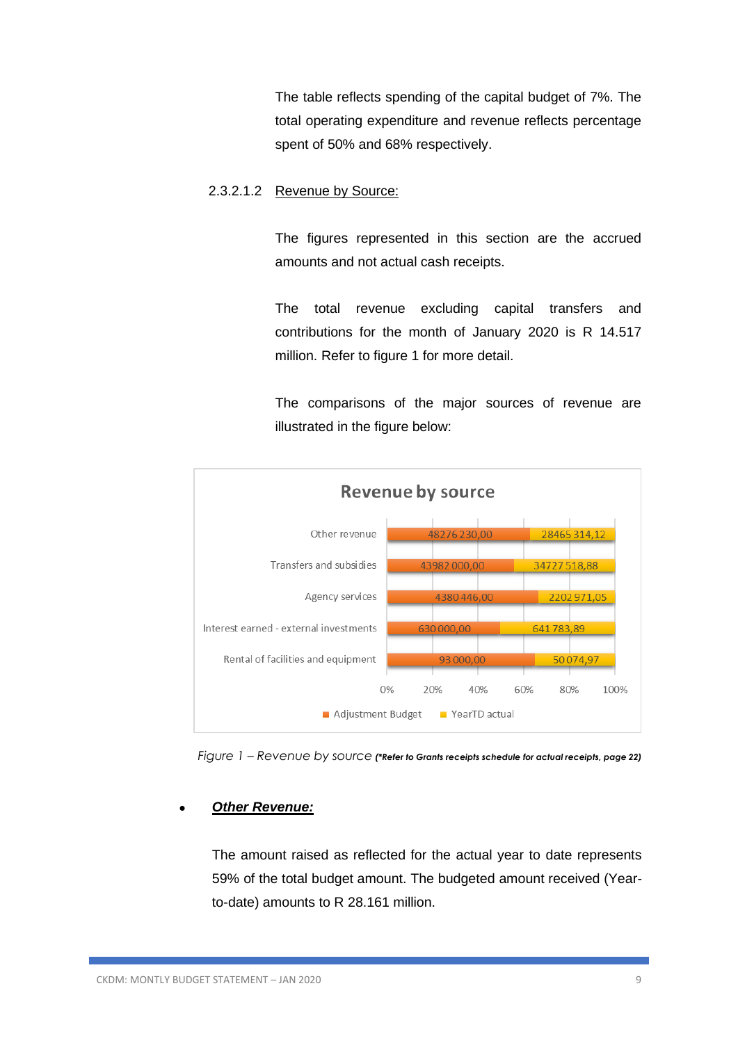The table reflects spending of the capital budget of 7%. The total operating expenditure and revenue reflects percentage spent of 50% and 68% respectively.

#### 2.3.2.1.2 Revenue by Source:

The figures represented in this section are the accrued amounts and not actual cash receipts.

The total revenue excluding capital transfers and contributions for the month of January 2020 is R 14.517 million. Refer to figure 1 for more detail.

The comparisons of the major sources of revenue are illustrated in the figure below:



 *Figure 1 – Revenue by source (\*Refer to Grants receipts schedule for actual receipts, page 22)*

### • *Other Revenue:*

The amount raised as reflected for the actual year to date represents 59% of the total budget amount. The budgeted amount received (Yearto-date) amounts to R 28.161 million.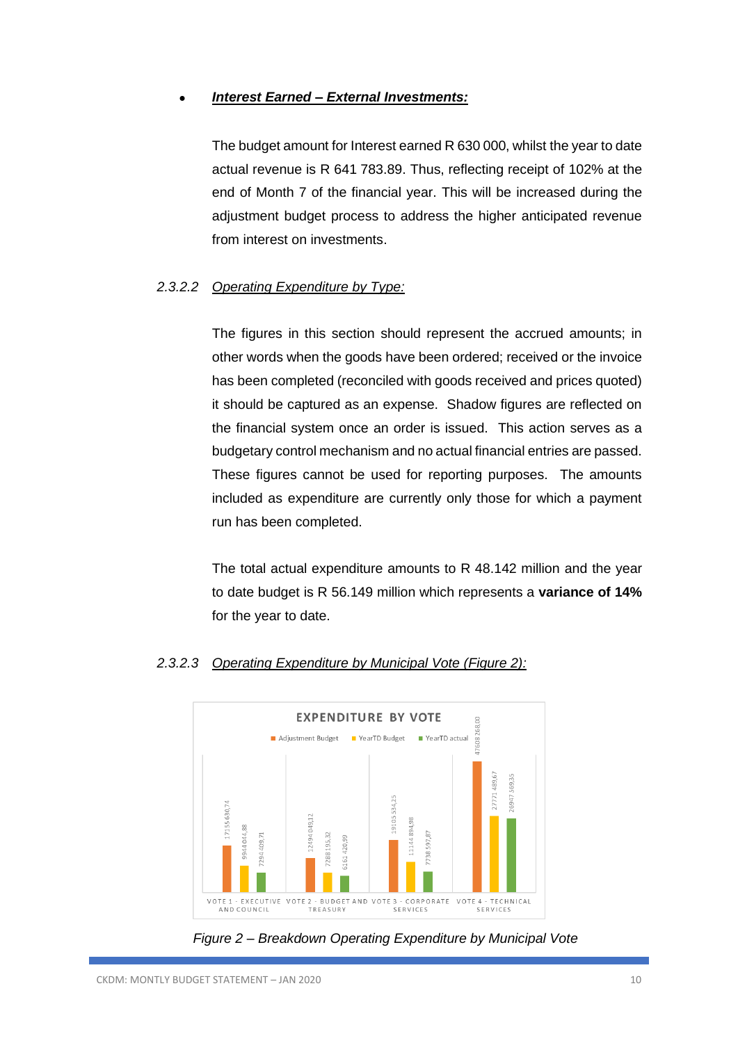### • *Interest Earned – External Investments:*

The budget amount for Interest earned R 630 000, whilst the year to date actual revenue is R 641 783.89. Thus, reflecting receipt of 102% at the end of Month 7 of the financial year. This will be increased during the adjustment budget process to address the higher anticipated revenue from interest on investments.

### *2.3.2.2 Operating Expenditure by Type:*

The figures in this section should represent the accrued amounts; in other words when the goods have been ordered; received or the invoice has been completed (reconciled with goods received and prices quoted) it should be captured as an expense. Shadow figures are reflected on the financial system once an order is issued. This action serves as a budgetary control mechanism and no actual financial entries are passed. These figures cannot be used for reporting purposes. The amounts included as expenditure are currently only those for which a payment run has been completed.

The total actual expenditure amounts to R 48.142 million and the year to date budget is R 56.149 million which represents a **variance of 14%** for the year to date.



### *2.3.2.3 Operating Expenditure by Municipal Vote (Figure 2):*

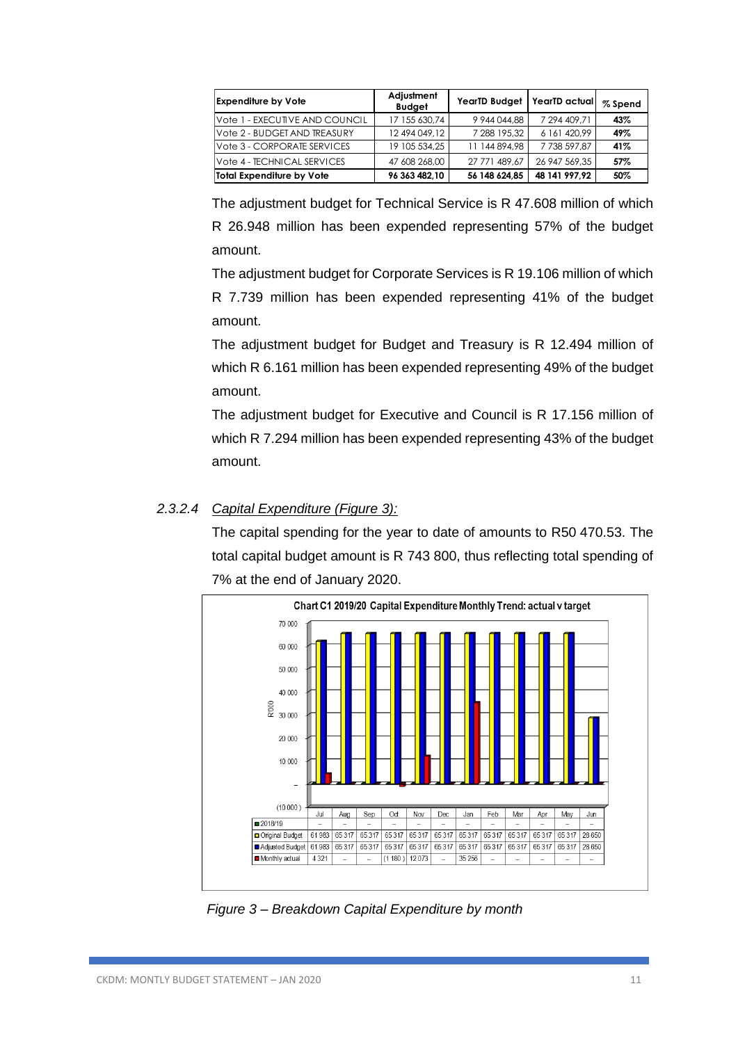| <b>Expenditure by Vote</b>     | Adjustment<br><b>Budget</b> | <b>YearTD Budget</b> | YearTD actual | % Spend |
|--------------------------------|-----------------------------|----------------------|---------------|---------|
| Vote 1 - EXECUTIVE AND COUNCIL | 17 155 630,74               | 9 944 044,88         | 7 294 409,71  | 43%     |
| Vote 2 - BUDGET AND TREASURY   | 12 494 049, 12              | 7 288 195,32         | 6 161 420.99  | 49%     |
| Vote 3 - CORPORATE SERVICES    | 19 105 534.25               | 11 144 894.98        | 7738 597,87   | 41%     |
| Vote 4 - TECHNICAL SERVICES    | 47 608 268,00               | 27 771 489.67        | 26 947 569.35 | 57%     |
| Total Expenditure by Vote      | 96 363 482.10               | 56 148 624.85        | 48 141 997.92 | 50%     |

The adjustment budget for Technical Service is R 47.608 million of which R 26.948 million has been expended representing 57% of the budget amount.

The adjustment budget for Corporate Services is R 19.106 million of which R 7.739 million has been expended representing 41% of the budget amount.

The adjustment budget for Budget and Treasury is R 12.494 million of which R 6.161 million has been expended representing 49% of the budget amount.

The adjustment budget for Executive and Council is R 17.156 million of which R 7.294 million has been expended representing 43% of the budget amount.

### *2.3.2.4 Capital Expenditure (Figure 3):*

The capital spending for the year to date of amounts to R50 470.53. The total capital budget amount is R 743 800, thus reflecting total spending of 7% at the end of January 2020.



 *Figure 3 – Breakdown Capital Expenditure by month*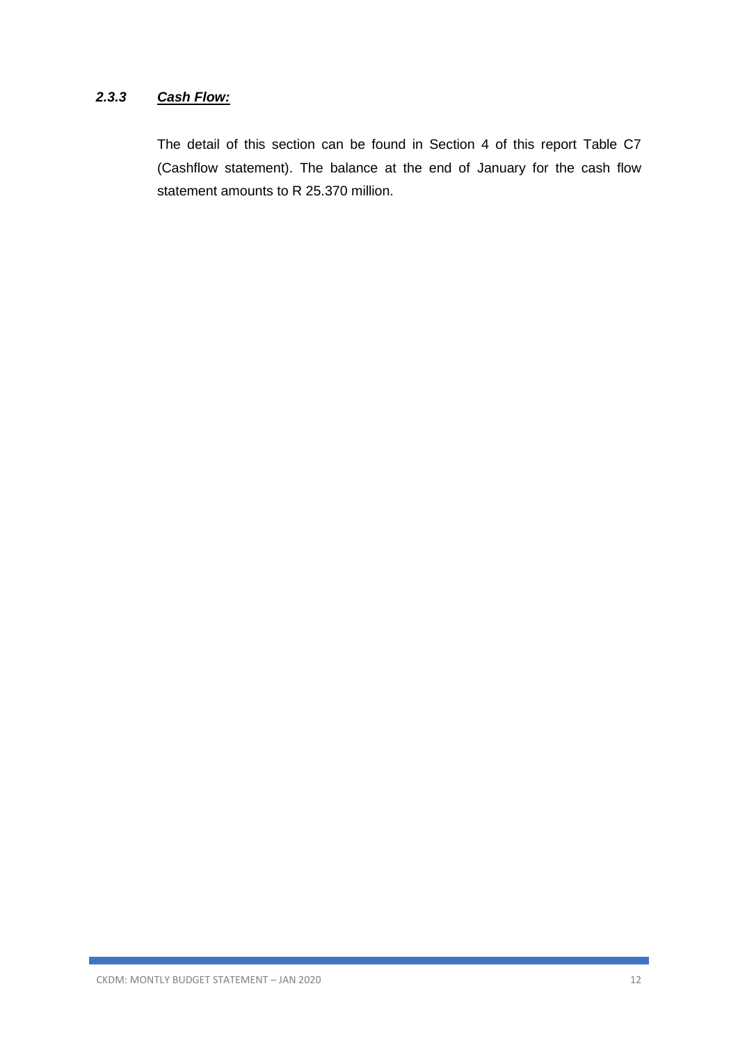### *2.3.3 Cash Flow:*

The detail of this section can be found in Section 4 of this report Table C7 (Cashflow statement). The balance at the end of January for the cash flow statement amounts to R 25.370 million.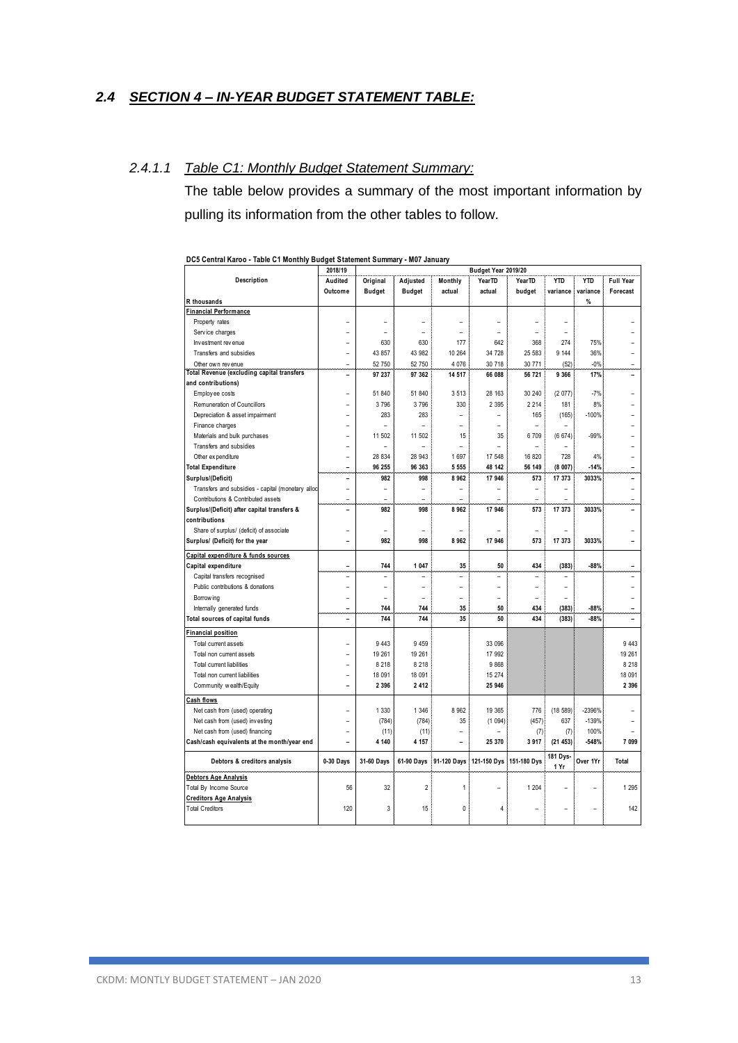### *2.4 SECTION 4 – IN-YEAR BUDGET STATEMENT TABLE:*

#### *2.4.1.1 Table C1: Monthly Budget Statement Summary:*

The table below provides a summary of the most important information by pulling its information from the other tables to follow.

|                                                   | 2018/19                  |                          |                          |                          | Budget Year 2019/20      |                |                          |                |                  |
|---------------------------------------------------|--------------------------|--------------------------|--------------------------|--------------------------|--------------------------|----------------|--------------------------|----------------|------------------|
| Description                                       | Audited                  | Original                 | Adjusted                 | Monthly                  | YearTD                   | YearTD         | <b>YTD</b>               | <b>YTD</b>     | <b>Full Year</b> |
|                                                   | Outcome                  | <b>Budget</b>            | <b>Budget</b>            | actual                   | actual                   | budget         | variance                 | variance       | Forecast         |
| R thousands                                       |                          |                          |                          |                          |                          |                |                          | %              |                  |
| Financial Performance                             |                          |                          |                          |                          |                          |                |                          |                |                  |
| Property rates                                    |                          | $\overline{a}$           | $\overline{\phantom{0}}$ | ۰                        | $\overline{a}$           | $\overline{a}$ | $\overline{\phantom{a}}$ |                |                  |
| Service charges                                   |                          |                          |                          |                          |                          |                |                          |                |                  |
| Investment revenue                                |                          | 630                      | 630                      | 177                      | 642                      | 368            | 274                      | 75%            |                  |
| Transfers and subsidies                           | ۰                        | 43 857                   | 43 982                   | 10 264                   | 34 728                   | 25 583         | 9 1 4 4                  | 36%            |                  |
| Other own revenue                                 |                          | 52 750                   | 52 750                   | 4 0 76                   | 30 718                   | 30 771         | (52)                     | $-0%$          |                  |
| Total Revenue (excluding capital transfers        | $\overline{\phantom{a}}$ | 97 237                   | 97 362                   | 14 517                   | 66 088                   | 56 721         | 9 3 6 6                  | 17%            |                  |
| and contributions)                                |                          |                          |                          |                          |                          |                |                          |                |                  |
| Employ ee costs                                   |                          | 51 840                   | 51 840                   | 3513                     | 28 163                   | 30 240         | (2077)                   | $-7%$          |                  |
| Remuneration of Councillors                       | ۳                        | 3796                     | 3796                     | 330                      | 2 3 9 5                  | 2 2 1 4        | 181                      | 8%             |                  |
| Depreciation & asset impairment                   | ۰                        | 283                      | 283                      | $\overline{\phantom{a}}$ | $\overline{a}$           | 165            | (165)                    | $-100%$        |                  |
| Finance charges                                   |                          |                          |                          |                          |                          |                |                          |                |                  |
| Materials and bulk purchases                      |                          | 11 502                   | 11 502                   | 15                       | 35                       | 6709           | (6674)                   | $-99%$         |                  |
| Transfers and subsidies                           |                          | $\overline{a}$           | ۳                        | $\overline{a}$           | $\overline{\phantom{a}}$ | L,             |                          |                |                  |
| Other ex penditure                                |                          | 28 834                   | 28 943                   | 1 6 9 7                  | 17 548                   | 16 820         | 728                      | 4%             |                  |
| <b>Total Expenditure</b>                          | $\overline{\phantom{a}}$ | 96 255                   | 96 363                   | 5 5 5 5                  | 48 142                   | 56 149         | (8007)                   | $-14%$         | ۰                |
| Surplus/(Deficit)                                 | $\overline{\phantom{a}}$ | 982                      | 998                      | 8962                     | 17 946                   | 573            | 17 373                   | 3033%          | ۰                |
| Transfers and subsidies - capital (monetary alloc |                          |                          | $\overline{\phantom{0}}$ |                          |                          |                |                          |                |                  |
| Contributions & Contributed assets                |                          |                          | ۰                        | $\overline{a}$           | ÷                        | ۰              | ۳                        |                |                  |
| Surplus/(Deficit) after capital transfers &       | ۰                        | 982                      | 998                      | 8962                     | 17 946                   | 573            | 17 373                   | 3033%          |                  |
| contributions                                     |                          |                          |                          |                          |                          |                |                          |                |                  |
| Share of surplus/ (deficit) of associate          | ۰                        | $\overline{a}$           | L,                       | ۰                        |                          | ۰              |                          |                |                  |
| Surplus/ (Deficit) for the year                   | ۰                        | 982                      | 998                      | 8962                     | 17 946                   | 573            | 17 373                   | 3033%          |                  |
| Capital expenditure & funds sources               |                          |                          |                          |                          |                          |                |                          |                |                  |
| Capital expenditure                               | ۰                        | 744                      | 1 0 4 7                  | 35                       | 50                       | 434            | (383)                    | $-88%$         |                  |
| Capital transfers recognised                      | $\overline{a}$           | $\overline{\phantom{a}}$ | L,                       | $\overline{a}$           | $\overline{a}$           | ۰              | $\overline{a}$           |                |                  |
| Public contributions & donations                  |                          |                          | $\overline{a}$           | $\overline{a}$           | L                        |                |                          |                |                  |
| Borrow ing                                        | ۳                        | $\overline{\phantom{a}}$ | L,                       | $\overline{a}$           | $\overline{\phantom{a}}$ | ۰              | $\overline{a}$           |                |                  |
| Internally generated funds                        | ۰                        | 744                      | 744                      | 35                       | 50                       | 434            | (383)                    | $-88%$         | ۰                |
| Total sources of capital funds                    | ÷                        | 744                      | 744                      | 35                       | 50                       | 434            | (383)                    | $-88%$         |                  |
| inancial position                                 |                          |                          |                          |                          |                          |                |                          |                |                  |
| Total current assets                              |                          | 9 4 4 3                  | 9 4 5 9                  |                          | 33 096                   |                |                          |                | 9 4 4 3          |
| Total non current assets                          |                          | 19 261                   | 19 261                   |                          | 17 992                   |                |                          |                | 19 261           |
| Total current liabilities                         | ۰                        | 8 2 1 8                  | 8 2 1 8                  |                          | 9868                     |                |                          |                | 8 2 1 8          |
| Total non current liabilities                     | ۰                        | 18 091                   | 18 091                   |                          | 15 274                   |                |                          |                | 18 091           |
| Community wealth/Equity                           | ۰                        | 2 3 9 6                  | 2412                     |                          | 25 946                   |                |                          |                | 2 3 9 6          |
|                                                   |                          |                          |                          |                          |                          |                |                          |                |                  |
| <b>Cash flows</b>                                 |                          |                          |                          |                          |                          |                |                          |                |                  |
| Net cash from (used) operating                    |                          | 1 3 3 0                  | 1 3 4 6                  | 8 9 6 2                  | 19 3 65                  | 776            | (18589)                  | -2396%         |                  |
| Net cash from (used) investing                    |                          | (784)                    | (784)                    | 35                       | (1094)                   | (457)          | 637                      | $-139%$        |                  |
| Net cash from (used) financing                    |                          | (11)                     | (11)                     | $\overline{a}$           |                          | (7)            | (7)                      | 100%           |                  |
| Cash/cash equivalents at the month/year end       | ۰                        | 4 140                    | 4 157                    | ۳                        | 25 370                   | 3917           | (21453)                  | $-548%$        | 7 0 9 9          |
| Debtors & creditors analysis                      | 0-30 Days                | 31-60 Days               | 61-90 Days               | 91-120 Days              | 121-150 Dys              | 151-180 Dys    | 181 Dys-<br>1 Yr         | Over 1Yr       | Total            |
| Debtors Age Analysis                              |                          |                          |                          |                          |                          |                |                          |                |                  |
| Total By Income Source                            | 56                       | 32                       | $\overline{2}$           | 1                        |                          | 1 204          |                          |                | 1 2 9 5          |
| <b>Creditors Age Analysis</b>                     |                          |                          |                          |                          |                          |                |                          |                |                  |
| <b>Total Creditors</b>                            | 120                      | 3                        | 15                       | 0                        | 4                        |                |                          | $\overline{a}$ | 142              |
|                                                   |                          |                          |                          |                          |                          |                |                          |                |                  |

**DC5 Central Karoo - Table C1 Monthly Budget Statement Summary - M07 January**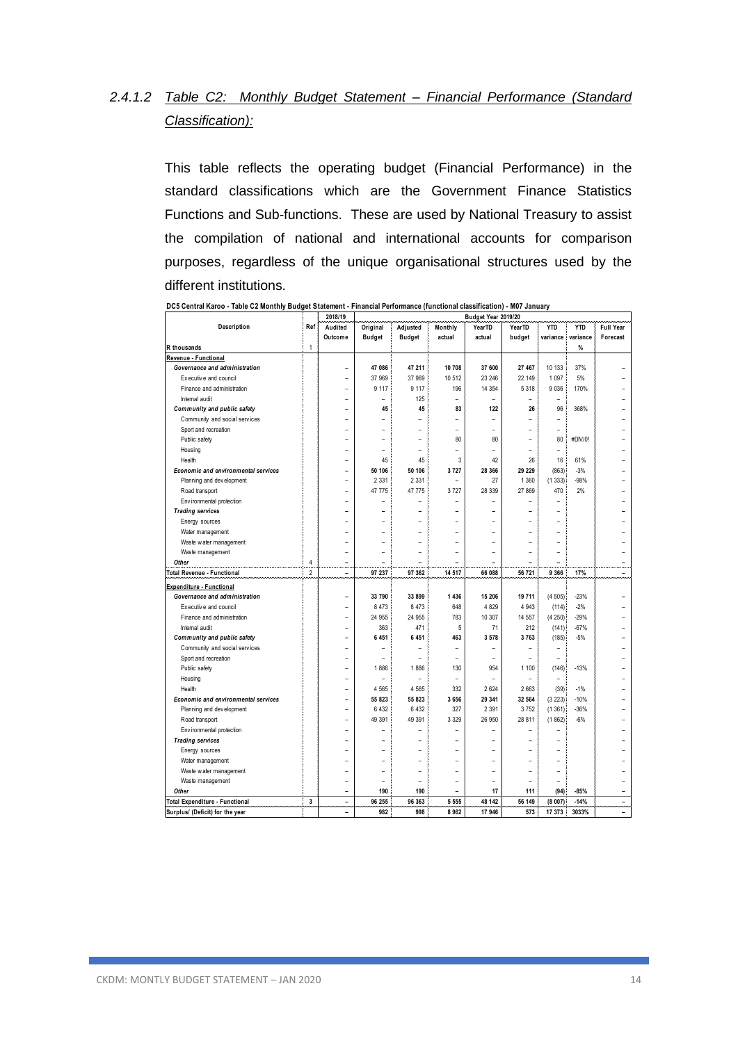# *2.4.1.2 Table C2: Monthly Budget Statement – Financial Performance (Standard Classification):*

This table reflects the operating budget (Financial Performance) in the standard classifications which are the Government Finance Statistics Functions and Sub-functions. These are used by National Treasury to assist the compilation of national and international accounts for comparison purposes, regardless of the unique organisational structures used by the different institutions.

|                                     |                | 2018/19                  | Budget Year 2019/20 |                          |                          |                    |                |                          |            |                          |  |
|-------------------------------------|----------------|--------------------------|---------------------|--------------------------|--------------------------|--------------------|----------------|--------------------------|------------|--------------------------|--|
| Description                         | Ref            | Audited                  | Original            | Adjusted                 | Monthly                  | Year <sub>TD</sub> | <b>YearTD</b>  | <b>YTD</b>               | <b>YTD</b> | <b>Full Year</b>         |  |
|                                     |                | Outcome                  | <b>Budget</b>       | <b>Budget</b>            | actual                   | actual             | budget         | variance                 | variance   | Forecast                 |  |
| R thousands                         | $\mathbf{1}$   |                          |                     |                          |                          |                    |                |                          | %          |                          |  |
| Revenue - Functional                |                |                          |                     |                          |                          |                    |                |                          |            |                          |  |
| Governance and administration       |                |                          | 47 086              | 47 211                   | 10 708                   | 37 600             | 27 467         | 10 133                   | 37%        |                          |  |
| Executive and council               |                |                          | 37 969              | 37 969                   | 10 512                   | 23 246             | 22 149         | 1 0 9 7                  | 5%         |                          |  |
| Finance and administration          |                |                          | 9 1 1 7             | 9 1 1 7                  | 196                      | 14 3 54            | 5 3 1 8        | 9 0 36                   | 170%       |                          |  |
| Internal audit                      |                |                          |                     | 125                      | $\overline{a}$           |                    | $\overline{a}$ | $\overline{a}$           |            |                          |  |
| Community and public safety         |                |                          | 45                  | 45                       | 83                       | 122                | 26             | 96                       | 368%       |                          |  |
| Community and social services       |                |                          |                     |                          | $\overline{a}$           |                    |                |                          |            |                          |  |
| Sport and recreation                |                |                          |                     |                          |                          | $\overline{a}$     |                | $\overline{a}$           |            |                          |  |
| Public safety                       |                |                          |                     |                          | 80                       | 80                 | $\overline{a}$ | 80                       | #DIV/0!    |                          |  |
| Housing                             |                |                          |                     | $\overline{a}$           | $\overline{a}$           | $\overline{a}$     | $\overline{a}$ | $\overline{\phantom{a}}$ |            |                          |  |
| Health                              |                |                          | 45                  | 45                       | 3                        | 42                 | 26             | 16                       | 61%        |                          |  |
| Economic and environmental services |                | ۳                        | 50 106              | 50 106                   | 3727                     | 28 366             | 29 229         | (863)                    | $-3%$      |                          |  |
| Planning and development            |                |                          | 2 3 3 1             | 2 3 3 1                  |                          | 27                 | 1 3 6 0        | (1333)                   | -98%       |                          |  |
| Road transport                      |                | $\overline{\phantom{a}}$ | 47 775              | 47 775                   | 3727                     | 28 339             | 27 869         | 470                      | 2%         |                          |  |
| Env ironmental protection           |                |                          |                     |                          |                          |                    |                |                          |            |                          |  |
| <b>Trading services</b>             |                |                          |                     | ٠                        | ۰                        |                    | ۰              | $\overline{a}$           |            |                          |  |
| Energy sources                      |                |                          |                     |                          |                          |                    |                | $\overline{a}$           |            |                          |  |
| Water management                    |                |                          |                     | $\overline{a}$           | $\overline{a}$           |                    | $\overline{a}$ | $\overline{a}$           |            |                          |  |
| Waste water management              |                |                          |                     | $\overline{\phantom{a}}$ | $\overline{a}$           |                    | $\overline{a}$ | $\overline{a}$           |            |                          |  |
| Waste management                    |                |                          |                     | $\overline{a}$           | $\overline{\phantom{0}}$ | $\overline{a}$     | $\overline{a}$ | $\overline{a}$           |            |                          |  |
| Other                               | 4              | $\overline{\phantom{a}}$ |                     | ۰                        | ÷                        | ۰                  | ۰              | ۰                        |            | $\overline{\phantom{0}}$ |  |
| <b>Total Revenue - Functional</b>   | $\overline{2}$ | $\blacksquare$           | 97 237              | 97 362                   | 14 517                   | 66 088             | 56 721         | 9 3 6 6                  | 17%        | $\overline{\phantom{a}}$ |  |
| Expenditure - Functional            |                |                          |                     |                          |                          |                    |                |                          |            |                          |  |
| Governance and administration       |                |                          | 33 790              | 33 899                   | 1 4 3 6                  | 15 206             | 19 711         | (4505)                   | $-23%$     |                          |  |
| Executive and council               |                |                          | 8 4 7 3             | 8 4 7 3                  | 648                      | 4 8 2 9            | 4 9 4 3        | (114)                    | $-2%$      |                          |  |
| Finance and administration          |                |                          | 24 955              | 24 955                   | 783                      | 10 307             | 14 557         | (4250)                   | $-29%$     |                          |  |
| Internal audit                      |                |                          | 363                 | 471                      | 5                        | 71                 | 212            | (141)                    | $-67%$     |                          |  |
| Community and public safety         |                |                          | 6 4 5 1             | 6 4 5 1                  | 463                      | 3 5 7 8            | 3763           | (185)                    | $-5%$      |                          |  |
| Community and social services       |                |                          |                     |                          |                          |                    | L              | $\overline{a}$           |            |                          |  |
| Sport and recreation                |                |                          |                     |                          | $\overline{a}$           | $\overline{a}$     | $\overline{a}$ | $\overline{a}$           |            |                          |  |
| Public safety                       |                |                          | 1886                | 1886                     | 130                      | 954                | 1 100          | (146)                    | $-13%$     |                          |  |
| Housing                             |                |                          |                     |                          | $\overline{a}$           |                    | $\overline{a}$ |                          |            |                          |  |
| Health                              |                |                          | 4 5 6 5             | 4 5 6 5                  | 332                      | 2 6 2 4            | 2 6 6 3        | (39)                     | $-1%$      |                          |  |
| Economic and environmental services |                | ۰                        | 55 823              | 55 823                   | 3 6 5 6                  | 29 341             | 32 564         | (3 223)                  | $-10%$     |                          |  |
| Planning and development            |                | ÷                        | 6 4 3 2             | 6 4 3 2                  | 327                      | 2 3 9 1            | 3752           | (1361)                   | -36%       |                          |  |
| Road transport                      |                |                          | 49 391              | 49 391                   | 3 3 2 9                  | 26 950             | 28 811         | (1862)                   | $-6%$      |                          |  |
| Environmental protection            |                |                          |                     |                          | $\overline{a}$           |                    |                |                          |            |                          |  |
| <b>Trading services</b>             |                | $\overline{a}$           |                     | ۰                        | ۰                        |                    | L.             | $\overline{a}$           |            |                          |  |
| Energy sources                      |                |                          |                     |                          |                          |                    |                |                          |            |                          |  |
| Water management                    |                |                          |                     |                          |                          |                    |                |                          |            |                          |  |
| Waste water management              |                |                          |                     |                          |                          |                    |                | $\overline{a}$           |            |                          |  |
| Waste management                    |                |                          |                     |                          | $\overline{a}$           | $\overline{a}$     | $\overline{a}$ | $\overline{a}$           |            |                          |  |
| Other                               |                | ۰                        | 190                 | 190                      | $\overline{\phantom{0}}$ | 17                 | 111            | (94)                     | $-85%$     | $\overline{a}$           |  |
| Total Expenditure - Functional      | 3              | $\overline{\phantom{a}}$ | 96 255              | 96 363                   | 5 5 5 5                  | 48 142             | 56 149         | (8007)                   | $-14%$     | $\overline{\phantom{0}}$ |  |
| Surplus/ (Deficit) for the year     |                | $\overline{a}$           | 982                 | 998                      | 8962                     | 17 946             | 573            | 17 373                   | 3033%      | $\overline{a}$           |  |

**DC5 Central Karoo - Table C2 Monthly Budget Statement - Financial Performance (functional classification) - M07 January**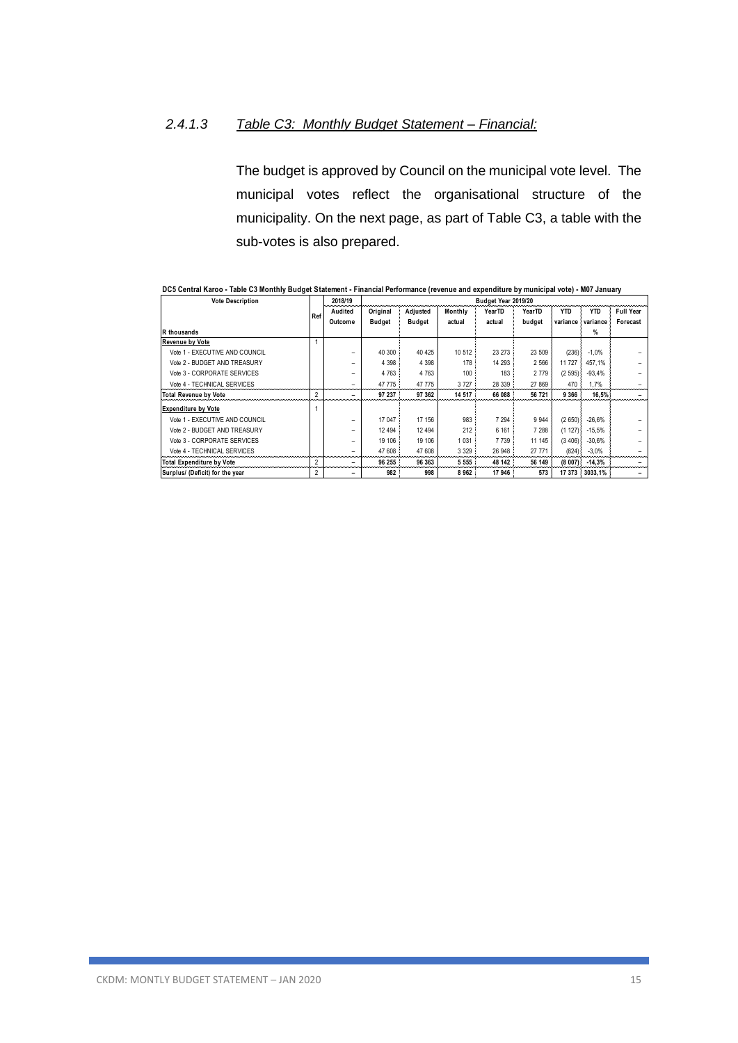### *2.4.1.3 Table C3: Monthly Budget Statement – Financial:*

The budget is approved by Council on the municipal vote level. The municipal votes reflect the organisational structure of the municipality. On the next page, as part of Table C3, a table with the sub-votes is also prepared.

| <b>Vote Description</b>          |     | 2018/19<br>Budget Year 2019/20 |          |               |         |         |         |            |            |                  |
|----------------------------------|-----|--------------------------------|----------|---------------|---------|---------|---------|------------|------------|------------------|
|                                  | Ref | Audited                        | Original | Adjusted      | Monthly | YearTD  | YearTD  | <b>YTD</b> | <b>YTD</b> | <b>Full Year</b> |
|                                  |     | Outcome                        | Budget   | <b>Budget</b> | actual  | actual  | budget  | variance   | variance   | Forecast         |
| R thousands                      |     |                                |          |               |         |         |         |            | %          |                  |
| <b>Revenue by Vote</b>           |     |                                |          |               |         |         |         |            |            |                  |
| Vote 1 - EXECUTIVE AND COUNCIL   |     |                                | 40 300   | 40 4 25       | 10 512  | 23 27 3 | 23 509  | (236)      | $-1,0%$    |                  |
| Vote 2 - BUDGET AND TREASURY     |     |                                | 4 3 9 8  | 4 3 9 8       | 178     | 14 293  | 2 5 6 6 | 11 727     | 457.1%     |                  |
| Vote 3 - CORPORATE SERVICES      |     |                                | 4 7 6 3  | 4 7 6 3       | 100     | 183     | 2 7 7 9 | (2595)     | $-93.4%$   |                  |
| Vote 4 - TECHNICAL SERVICES      |     |                                | 47 775   | 47 775        | 3727    | 28 339  | 27 869  | 470        | 1.7%       |                  |
| <b>Total Revenue by Vote</b>     | 2   |                                | 97 237   | 97 362        | 14 517  | 66 088  | 56 721  | 9 3 6 6    | 16.5%      |                  |
| <b>Expenditure by Vote</b>       |     |                                |          |               |         |         |         |            |            |                  |
| Vote 1 - EXECUTIVE AND COUNCIL   |     |                                | 17 047   | 17 156        | 983     | 7 2 9 4 | 9 9 4 4 | (2650)     | $-26.6%$   |                  |
| Vote 2 - BUDGET AND TREASURY     |     |                                | 12 4 9 4 | 12 4 94       | 212     | 6 1 6 1 | 7 288   | (1 127)    | $-15,5%$   |                  |
| Vote 3 - CORPORATE SERVICES      |     |                                | 19 10 6  | 19 10 6       | 1 0 3 1 | 7 7 3 9 | 11 145  | (3, 406)   | $-30.6%$   |                  |
| Vote 4 - TECHNICAL SERVICES      |     |                                | 47 608   | 47 608        | 3 3 2 9 | 26 948  | 27 771  | (824)      | $-3,0%$    |                  |
| <b>Total Expenditure by Vote</b> |     |                                | 96 255   | 96 363        | 5 5 5 5 | 48 142  | 56 149  | (8007)     | $-14,3%$   |                  |
| Surplus/ (Deficit) for the year  | 2   |                                | 982      | 998           | 8962    | 17 946  | 573     | 17 373     | 3033,1%    |                  |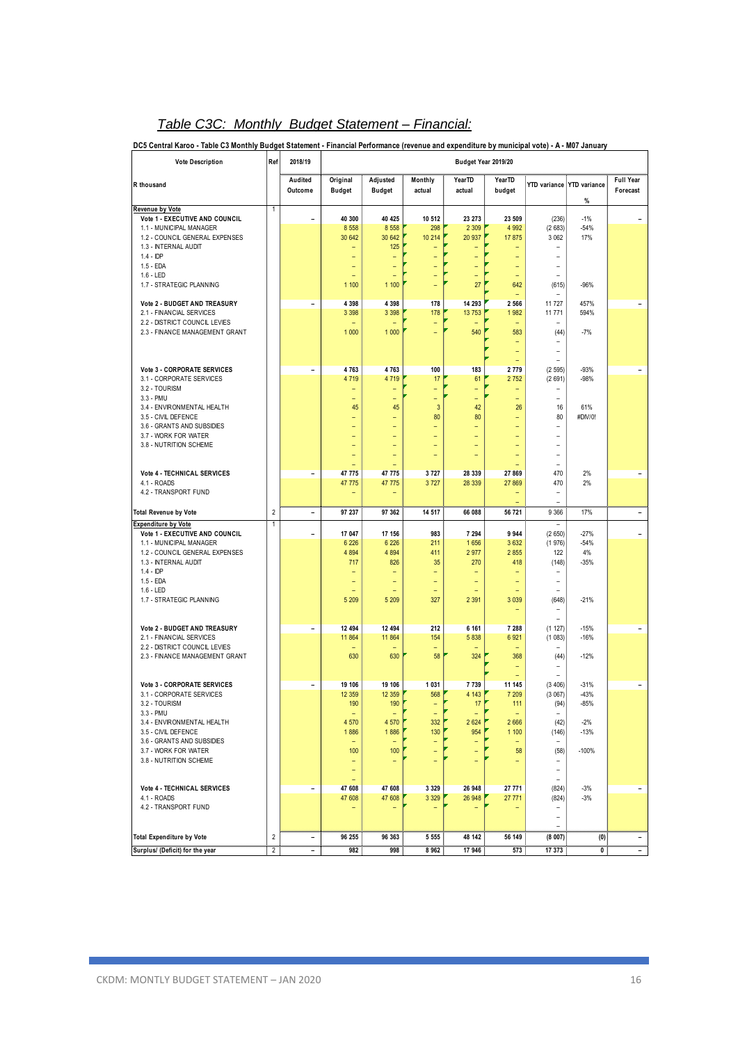| <b>Vote Description</b>                                                                                                                                                                      | Ref            | 2018/19                  |                                                                    |                                                                           |                                                  |                                                     | Budget Year 2019/20                                                    |                                                                                          |                                               |                              |
|----------------------------------------------------------------------------------------------------------------------------------------------------------------------------------------------|----------------|--------------------------|--------------------------------------------------------------------|---------------------------------------------------------------------------|--------------------------------------------------|-----------------------------------------------------|------------------------------------------------------------------------|------------------------------------------------------------------------------------------|-----------------------------------------------|------------------------------|
| R thousand                                                                                                                                                                                   |                | Audited<br>Outcome       | Original<br><b>Budget</b>                                          | Adjusted<br><b>Budget</b>                                                 | Monthly<br>actual                                | YearTD<br>actual                                    | YearTD<br>budget                                                       | YTD variance                                                                             | <b>YTD</b> variance<br>%                      | <b>Full Year</b><br>Forecast |
| <b>Revenue by Vote</b><br>Vote 1 - EXECUTIVE AND COUNCIL<br>1.1 - MUNICIPAL MANAGER<br>1.2 - COUNCIL GENERAL EXPENSES<br>1.3 - INTERNAL AUDIT                                                | $\mathbf{1}$   | $\overline{\phantom{a}}$ | 40 300<br>8 5 5 8<br>30 642                                        | 40 4 25<br>8 5 5 8<br>30 642<br>125                                       | 10 512<br>298<br>10 214                          | 23 273<br>2 3 0 9<br>20 937                         | 23 509<br>4 9 9 2<br>17 875                                            | (236)<br>(2683)<br>3 0 6 2<br>۳                                                          | $-1%$<br>$-54%$<br>17%                        |                              |
| $1.4 - IDP$<br>1.5 - EDA<br>$1.6 - LED$<br>1.7 - STRATEGIC PLANNING                                                                                                                          |                |                          | ٠<br>۳<br>-<br>1 100                                               | $\overline{\phantom{a}}$<br>$\overline{\phantom{a}}$<br>۳<br>1 100        | Ξ<br>Ξ<br>Ξ<br>÷,                                | Ξ<br>Ξ<br>÷,<br>27                                  | ÷<br>Ξ<br>۳<br>642                                                     | ۳<br>۳<br>۰<br>(615)                                                                     | $-96%$                                        |                              |
| Vote 2 - BUDGET AND TREASURY<br>2.1 - FINANCIAL SERVICES<br>2.2 - DISTRICT COUNCIL LEVIES                                                                                                    |                | $\overline{a}$           | 4 3 9 8<br>3 3 9 8                                                 | 4 3 9 8<br>3 3 9 8                                                        | 178<br>178<br>$\equiv$<br>÷                      | 14 293<br>13 753<br>$\equiv$                        | 2 5 6 6<br>1 9 8 2<br>۳                                                | 11 727<br>11 771                                                                         | 457%<br>594%<br>$-7%$                         |                              |
| 2.3 - FINANCE MANAGEMENT GRANT                                                                                                                                                               |                |                          | 1 0 0 0                                                            | 1 0 0 0                                                                   |                                                  | 540                                                 | 583<br>-<br>۳<br>-                                                     | (44)<br>۳<br>۳                                                                           |                                               |                              |
| Vote 3 - CORPORATE SERVICES<br>3.1 - CORPORATE SERVICES<br>3.2 - TOURISM<br>$3.3 - PMU$                                                                                                      |                | $\overline{\phantom{a}}$ | 4763<br>4 7 1 9<br>Ξ<br>۳                                          | 4763<br>4 7 1 9<br>$\overline{\phantom{0}}$<br>۳                          | 100<br>17<br>÷<br>Ξ                              | 183<br>61<br>÷<br>Ξ                                 | 2 7 7 9<br>2 7 5 2<br>۳<br>÷,                                          | (2595)<br>(2691)<br>۳                                                                    | $-93%$<br>$-98%$                              |                              |
| 3.4 - ENVIRONMENTAL HEALTH<br>3.5 - CIVIL DEFENCE<br>3.6 - GRANTS AND SUBSIDIES<br>3.7 - WORK FOR WATER<br>3.8 - NUTRITION SCHEME                                                            |                |                          | 45<br>÷<br>$\overline{\phantom{0}}$<br>۳<br>$\qquad \qquad -$<br>٠ | 45<br>$\overline{\phantom{a}}$<br>÷<br>۳<br>$\overline{\phantom{0}}$<br>۳ | 3<br>80<br>÷,<br>÷,<br>÷<br>Ē,                   | 42<br>80<br>÷<br>÷,<br>-<br>۳                       | 26<br>Ξ<br>-<br>L,<br>-<br>۳                                           | 16<br>80<br>$\overline{a}$<br>$\overline{a}$<br>۳<br>۳                                   | 61%<br>#DIV/0!                                |                              |
| Vote 4 - TECHNICAL SERVICES<br>4.1 - ROADS<br>4.2 - TRANSPORT FUND                                                                                                                           |                | $\overline{a}$           | 47 775<br>47 775                                                   | 47 775<br>47 775                                                          | 3727<br>3727                                     | 28 339<br>28 339                                    | 27 869<br>27 869<br>÷,                                                 | ۰<br>470<br>470<br>٠<br>$\overline{\phantom{a}}$                                         | 2%<br>2%                                      |                              |
| <b>Total Revenue by Vote</b>                                                                                                                                                                 | $\sqrt{2}$     | $\overline{\phantom{a}}$ | 97 237                                                             | 97 362                                                                    | 14 517                                           | 66 088                                              | 56 721                                                                 | 9 3 6 6                                                                                  | 17%                                           |                              |
| <b>Expenditure by Vote</b><br>Vote 1 - EXECUTIVE AND COUNCIL<br>1.1 - MUNICIPAL MANAGER<br>1.2 - COUNCIL GENERAL EXPENSES<br>1.3 - INTERNAL AUDIT<br>$1.4 -$ IDP<br>1.5 - EDA<br>$1.6 - LED$ | $\overline{1}$ | $\overline{\phantom{a}}$ | 17 047<br>6 2 2 6<br>4 8 9 4<br>717<br>۰<br>۰                      | 17 156<br>6 2 2 6<br>4 8 9 4<br>826<br>$\overline{\phantom{0}}$<br>٠      | 983<br>211<br>411<br>35<br>÷<br>۳<br>۳           | 7 294<br>1 6 5 6<br>2 9 7 7<br>270<br>-<br>۳        | 9 9 4 4<br>3 6 3 2<br>2 8 5 5<br>418<br>-<br>Ξ                         | $\overline{a}$<br>(2650)<br>(1976)<br>122<br>(148)<br>۰<br>$\overline{\phantom{a}}$<br>۰ | $-27%$<br>$-54%$<br>4%<br>$-35%$              |                              |
| 1.7 - STRATEGIC PLANNING                                                                                                                                                                     |                |                          | 5 2 0 9                                                            | 5 2 0 9                                                                   | 327                                              | 2 3 9 1                                             | 3 0 3 9<br>۳                                                           | (648)<br>$\overline{\phantom{a}}$<br>۳                                                   | $-21%$                                        |                              |
| Vote 2 - BUDGET AND TREASURY<br>2.1 - FINANCIAL SERVICES<br>2.2 - DISTRICT COUNCIL LEVIES<br>2.3 - FINANCE MANAGEMENT GRANT                                                                  |                | $\overline{\phantom{a}}$ | 12 4 94<br>11 864<br>630                                           | 12 4 94<br>11 864<br>630                                                  | 212<br>154<br>Ξ<br>58                            | 6 1 6 1<br>5 8 3 8<br>324                           | 7 288<br>6 9 21<br>368<br>۳                                            | (1 127)<br>(1083)<br>(44)                                                                | $-15%$<br>$-16%$<br>$-12%$                    |                              |
| Vote 3 - CORPORATE SERVICES<br>3.1 - CORPORATE SERVICES<br>3.2 - TOURISM<br>3.3 - PMU<br>3.4 - ENVIRONMENTAL HEALTH<br>3.5 - CIVIL DEFENCE                                                   |                | $\overline{\phantom{a}}$ | 19 106<br>12 3 5 9<br>190<br>$\equiv$<br>4 5 7 0<br>1886           | 19 106<br>12 3 5 9<br>190<br>$\sim$<br>4 570<br>1886                      | 1 0 3 1<br>568<br>F<br>÷<br>$\sim$<br>332<br>130 | 7 7 3 9<br>4 1 4 3<br>17<br>$\equiv$<br>2624<br>954 | 11 145<br>7 209<br>111<br>$\overline{\phantom{0}}$<br>2 6 6 6<br>1 100 | (3406)<br>(3.067)<br>(94)<br>$\overline{\phantom{a}}$<br>(42)<br>(146)                   | $-31%$<br>$-43%$<br>$-85%$<br>$-2%$<br>$-13%$ |                              |
| 3.6 - GRANTS AND SUBSIDIES<br>3.7 - WORK FOR WATER<br>3.8 - NUTRITION SCHEME                                                                                                                 |                |                          | $\overline{\phantom{0}}$<br>100<br>$\qquad \qquad -$<br>$\equiv$   | $\equiv$<br>100<br>Ξ                                                      | ÷<br>÷<br>$\equiv$                               | ÷<br>$\equiv$<br>÷,                                 | ÷,<br>58<br>÷                                                          | (58)<br>$\overline{\phantom{a}}$<br>$\overline{\phantom{a}}$<br>$\overline{\phantom{0}}$ | $-100%$                                       |                              |
| Vote 4 - TECHNICAL SERVICES<br>4.1 - ROADS<br>4.2 - TRANSPORT FUND                                                                                                                           |                | $\overline{\phantom{a}}$ | 47 608<br>47 608                                                   | 47 608<br>47 608                                                          | 3 3 2 9<br>3 3 29                                | 26 948<br>26 948                                    | 27 771<br>27 771                                                       | (824)<br>(824)<br>$\overline{\phantom{a}}$<br>$\overline{\phantom{a}}$                   | $-3%$<br>$-3%$                                |                              |

**Total Expenditure by Vote** 2 **– 96 255 96 363 5 555 48 142 56 149 (8 007) (0) –**

**Surplus/ (Deficit) for the year** 2 **– 982 998 8 962 17 946 573 17 373 0 –**

### *Table C3C: Monthly Budget Statement – Financial:*

**DC5 Central Karoo - Table C3 Monthly Budget Statement - Financial Performance (revenue and expenditure by municipal vote) - A - M07 January**

 $\frac{(8007)}{17373}$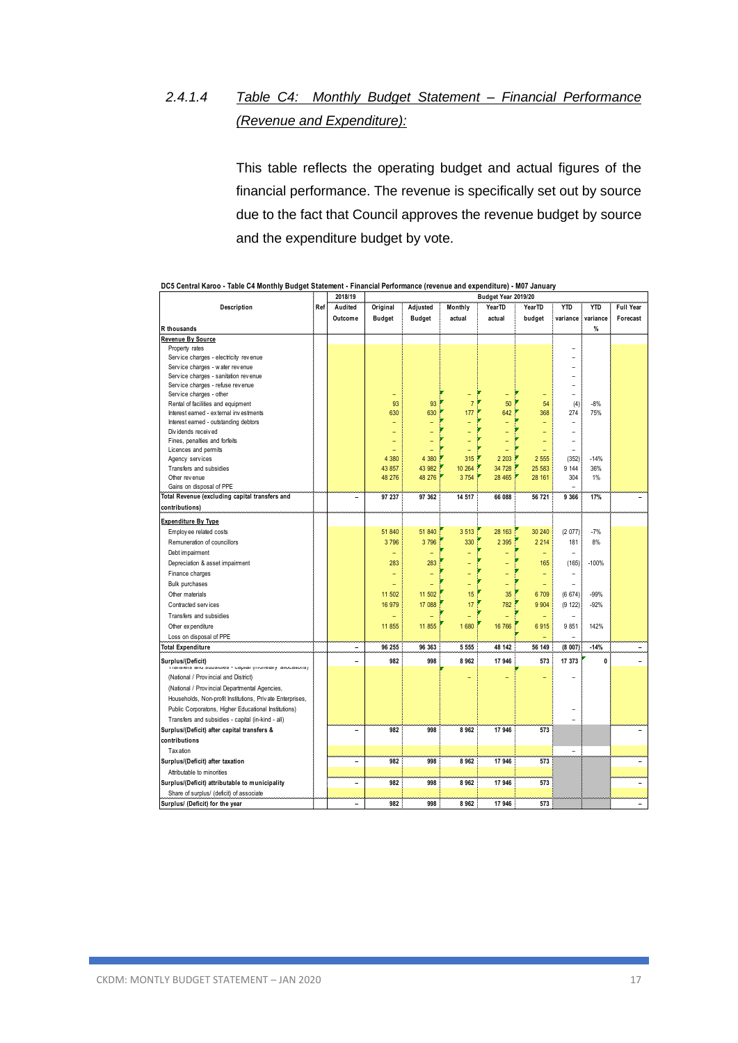# *2.4.1.4 Table C4: Monthly Budget Statement – Financial Performance (Revenue and Expenditure):*

This table reflects the operating budget and actual figures of the financial performance. The revenue is specifically set out by source due to the fact that Council approves the revenue budget by source and the expenditure budget by vote.

|                                                                               |     | <b>SAI 191 12</b>        |                          |                          |                          | Duuget fear zo is/zo |                          |                |            |                          |
|-------------------------------------------------------------------------------|-----|--------------------------|--------------------------|--------------------------|--------------------------|----------------------|--------------------------|----------------|------------|--------------------------|
| Description                                                                   | Ref | Audited                  | Original                 | Adjusted                 | Monthly                  | YearTD               | YearTD                   | <b>YTD</b>     | <b>YTD</b> | Full Year                |
|                                                                               |     | Outcome                  | <b>Budget</b>            | <b>Budget</b>            | actual                   | actual               | budget                   | variance       | variance   | Forecast                 |
| R thousands                                                                   |     |                          |                          |                          |                          |                      |                          |                | %          |                          |
| Revenue By Source                                                             |     |                          |                          |                          |                          |                      |                          |                |            |                          |
| Property rates                                                                |     |                          |                          |                          |                          |                      |                          |                |            |                          |
| Service charges - electricity revenue                                         |     |                          |                          |                          |                          |                      |                          |                |            |                          |
| Service charges - water revenue                                               |     |                          |                          |                          |                          |                      |                          |                |            |                          |
| Service charges - sanitation revenue                                          |     |                          |                          |                          |                          |                      |                          | $\overline{a}$ |            |                          |
| Service charges - refuse revenue                                              |     |                          |                          |                          |                          |                      |                          |                |            |                          |
| Service charges - other                                                       |     |                          | ۰                        |                          | ۳                        | Ξ                    |                          | $\overline{a}$ |            |                          |
| Rental of facilities and equipment                                            |     |                          | 93                       | 93                       | $\overline{7}$           | 50                   | 54                       | (4)            | $-8%$      |                          |
| Interest earned - external investments                                        |     |                          | 630                      | 630                      | 177                      | 642                  | 368                      | 274            | 75%        |                          |
| Interest earned - outstanding debtors                                         |     |                          | Ξ                        |                          | ÷                        |                      |                          | -              |            |                          |
| Dividends received                                                            |     |                          | L,                       |                          |                          |                      |                          | $\overline{a}$ |            |                          |
| Fines, penalties and forfeits                                                 |     |                          | ÷,                       |                          |                          |                      | L,                       | $\overline{a}$ |            |                          |
| Licences and permits                                                          |     |                          | ÷,                       |                          | Ξ                        | L,                   | Ξ                        | $\overline{a}$ |            |                          |
| Agency services                                                               |     |                          | 4 3 8 0                  | 4 3 8 0                  | 315                      | 2 2 0 3              | 2 5 5 5                  | (352)          | $-14%$     |                          |
| Transfers and subsidies                                                       |     |                          | 43 857                   | 43 982                   | 10 264                   | 34 728               | 25 583                   | 9 1 4 4        | 36%        |                          |
| Other rev enue                                                                |     |                          | 48 276                   | 48 276                   | 3754                     | 28 4 65              | 28 161                   | 304            | 1%         |                          |
| Gains on disposal of PPE                                                      |     |                          |                          |                          |                          |                      |                          |                |            |                          |
| Total Revenue (excluding capital transfers and                                |     | ۰                        | 97 237                   | 97 362                   | 14 517                   | 66 088               | 56 721                   | 9 3 6 6        | 17%        |                          |
| contributions)                                                                |     |                          |                          |                          |                          |                      |                          |                |            |                          |
| <b>Expenditure By Type</b>                                                    |     |                          |                          |                          |                          |                      |                          |                |            |                          |
| Employ ee related costs                                                       |     |                          | 51 840                   | 51 840                   | 3513                     | 28 163               | 30 240                   | (2077)         | $-7%$      |                          |
| Remuneration of councillors                                                   |     |                          | 3796                     | 3796                     | 330                      | 2 3 9 5              | 2 2 1 4                  | 181            | 8%         |                          |
| Debt impairment                                                               |     |                          | ÷,                       |                          |                          | L,                   | ÷,                       |                |            |                          |
| Depreciation & asset impairment                                               |     |                          | 283                      | 283                      |                          |                      | 165                      | (165)          | $-100%$    |                          |
| Finance charges                                                               |     |                          | $\overline{\phantom{0}}$ | $\overline{\phantom{0}}$ |                          | Ξ                    | ÷                        | $\overline{a}$ |            |                          |
|                                                                               |     |                          | ÷                        | Ξ                        |                          |                      |                          |                |            |                          |
| <b>Bulk purchases</b>                                                         |     |                          |                          |                          | Ξ                        | ÷,                   | ÷,                       |                |            |                          |
| Other materials                                                               |     |                          | 11 502                   | 11 502                   | 15                       | 35                   | 6709                     | (6674)         | $-99%$     |                          |
| Contracted services                                                           |     |                          | 16 979                   | 17 088                   | 17                       | 782                  | 9 9 0 4                  | (9 122)        | $-92%$     |                          |
| Transfers and subsidies                                                       |     |                          | $\overline{\phantom{0}}$ |                          | $\overline{\phantom{0}}$ |                      | $\overline{\phantom{0}}$ | $\overline{a}$ |            |                          |
| Other ex penditure                                                            |     |                          | 11 855                   | 11855                    | 1680                     | 16 766               | 6915                     | 9851           | 142%       |                          |
| Loss on disposal of PPE                                                       |     |                          |                          |                          |                          |                      |                          | ۳              |            |                          |
| <b>Total Expenditure</b>                                                      |     | $\overline{a}$           | 96 255                   | 96 363                   | 5 5 5 5                  | 48 142               | 56 149                   | (8007)         | $-14%$     |                          |
| Surplus/(Deficit)<br>mansiers and subsidies - capital (inonetary allocations) |     | L,                       | 982                      | 998                      | 8962                     | 17 946               | 573                      | 17 373         | 0          |                          |
| (National / Provincial and District)                                          |     |                          |                          |                          |                          |                      |                          |                |            |                          |
| (National / Provincial Departmental Agencies,                                 |     |                          |                          |                          |                          |                      |                          |                |            |                          |
| Households, Non-profit Institutions, Private Enterprises,                     |     |                          |                          |                          |                          |                      |                          |                |            |                          |
| Public Corporatons, Higher Educational Institutions)                          |     |                          |                          |                          |                          |                      |                          |                |            |                          |
| Transfers and subsidies - capital (in-kind - all)                             |     |                          |                          |                          |                          |                      |                          |                |            |                          |
|                                                                               |     |                          |                          |                          |                          |                      |                          |                |            |                          |
| Surplus/(Deficit) after capital transfers &                                   |     | ۰                        | 982                      | 998                      | 8962                     | 17 946               | 573                      |                |            |                          |
| contributions                                                                 |     |                          |                          |                          |                          |                      |                          |                |            |                          |
| Tax ation                                                                     |     |                          |                          |                          |                          |                      |                          | $\overline{a}$ |            |                          |
| Surplus/(Deficit) after taxation                                              |     | $\overline{\phantom{0}}$ | 982                      | 998                      | 8962                     | 17 946               | 573                      |                |            |                          |
| Attributable to minorities                                                    |     |                          |                          |                          |                          |                      |                          |                |            |                          |
| Surplus/(Deficit) attributable to municipality                                |     | ۰                        | 982                      | 998                      | 8962                     | 17 946               | 573                      |                |            |                          |
| Share of surplus/ (deficit) of associate                                      |     |                          |                          |                          |                          |                      |                          |                |            |                          |
| Surplus/ (Deficit) for the year                                               |     | ۰                        | 982                      | 998                      | 8962                     | 17 946               | 573                      |                |            | $\overline{\phantom{a}}$ |
|                                                                               |     |                          |                          |                          |                          |                      |                          |                |            |                          |

|  |         | DC5 Central Karoo - Table C4 Monthly Budget Statement - Financial Performance (revenue and expenditure) - M07 January |
|--|---------|-----------------------------------------------------------------------------------------------------------------------|
|  | 2018/19 | Budget Year 2019/20                                                                                                   |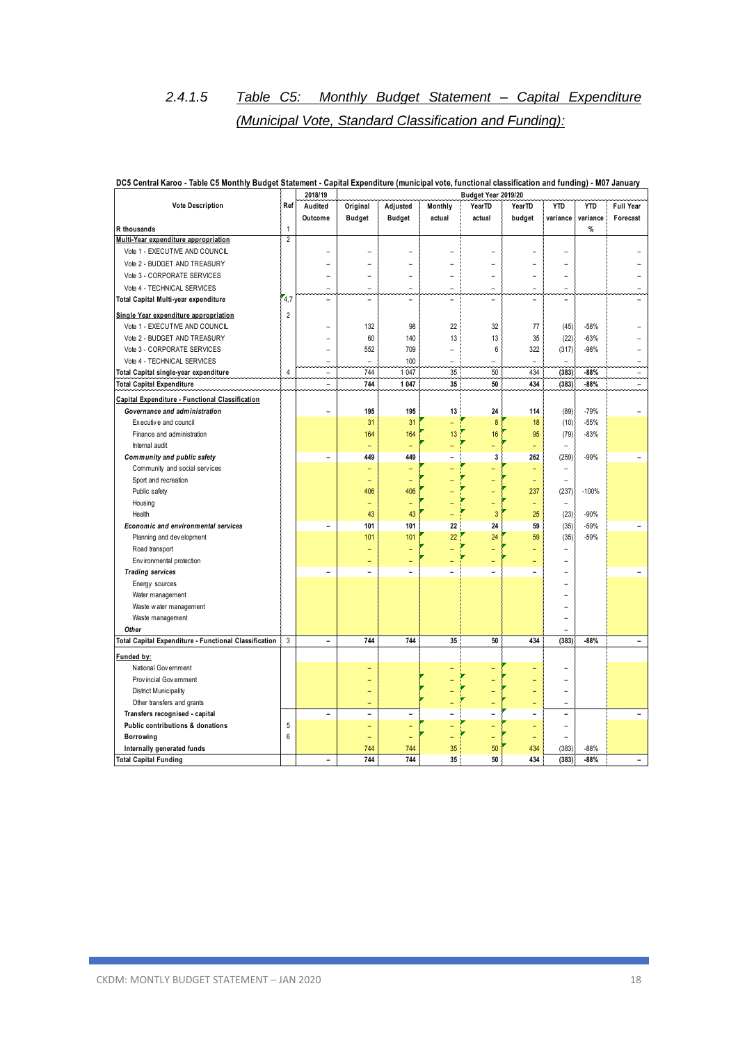# *2.4.1.5 Table C5: Monthly Budget Statement – Capital Expenditure (Municipal Vote, Standard Classification and Funding):*

|                                                       |                | 2018/19                  |                          |               |         | Budget Year 2019/20 |                |                          |            |                          |
|-------------------------------------------------------|----------------|--------------------------|--------------------------|---------------|---------|---------------------|----------------|--------------------------|------------|--------------------------|
| <b>Vote Description</b>                               | Ref            | Audited                  | Original                 | Adjusted      | Monthly | Year <sub>TD</sub>  | YearTD         | <b>YTD</b>               | <b>YTD</b> | <b>Full Year</b>         |
|                                                       |                | Outcome                  | <b>Budget</b>            | <b>Budget</b> | actual  | actual              | budget         | variance                 | variance   | Forecast                 |
| <b>R</b> thousands                                    | 1              |                          |                          |               |         |                     |                |                          | %          |                          |
| Multi-Year expenditure appropriation                  | $\overline{2}$ |                          |                          |               |         |                     |                |                          |            |                          |
| Vote 1 - EXECUTIVE AND COUNCIL                        |                | L,                       |                          |               |         |                     |                |                          |            |                          |
| Vote 2 - BUDGET AND TREASURY                          |                | ۰                        |                          | L,            |         | L                   |                |                          |            |                          |
| Vote 3 - CORPORATE SERVICES                           |                | $\overline{\phantom{a}}$ |                          |               |         | L                   |                | ۰                        |            |                          |
| Vote 4 - TECHNICAL SERVICES                           |                | ٠                        | ÷                        | L.            | ۳       | ۳                   | ÷              | $\equiv$                 |            |                          |
| Total Capital Multi-year expenditure                  | 4,7            | $\blacksquare$           | $\overline{\phantom{a}}$ | L             | L       | $\overline{a}$      | L.             | $\overline{\phantom{0}}$ |            |                          |
| Single Year expenditure appropriation                 | $\overline{2}$ |                          |                          |               |         |                     |                |                          |            |                          |
| Vote 1 - EXECUTIVE AND COUNCIL                        |                | Ē,                       | 132                      | 98            | 22      | 32                  | 77             | (45)                     | $-58%$     |                          |
| Vote 2 - BUDGET AND TREASURY                          |                | L,                       | 60                       | 140           | 13      | 13                  | 35             | (22)                     | $-63%$     |                          |
| Vote 3 - CORPORATE SERVICES                           |                | L.                       | 552                      | 709           | L,      | 6                   | 322            | (317)                    | $-98%$     |                          |
| Vote 4 - TECHNICAL SERVICES                           |                | $\overline{\phantom{0}}$ | ÷                        | 100           | L,      | L                   | L.             | $\overline{\phantom{a}}$ |            |                          |
| Total Capital single-year expenditure                 | $\overline{4}$ | $\overline{\phantom{0}}$ | 744                      | 1 0 4 7       | 35      | 50                  | 434            | (383)                    | $-88%$     | ÷,                       |
| <b>Total Capital Expenditure</b>                      |                | $\blacksquare$           | 744                      | 1 0 4 7       | 35      | 50                  | 434            | (383)                    | $-88%$     | $\overline{\phantom{0}}$ |
| Capital Expenditure - Functional Classification       |                |                          |                          |               |         |                     |                |                          |            |                          |
| Governance and administration                         |                |                          | 195                      | 195           | 13      | 24                  | 114            | (89)                     | $-79%$     |                          |
| Ex ecutive and council                                |                |                          | 31                       | 31            | ÷,      | 8                   | 18             | (10)                     | $-55%$     |                          |
| Finance and administration                            |                |                          | 164                      | 164           | 13      | 16                  | 95             | (79)                     | $-83%$     |                          |
| Internal audit                                        |                |                          |                          |               | Ξ       | L,                  | L,             | ÷                        |            |                          |
| Community and public safety                           |                | L.                       | 449                      | 449           |         | 3                   | 262            | (259)                    | $-99%$     |                          |
| Community and social services                         |                |                          |                          | L,            | ۳       |                     | Ξ              | $\overline{\phantom{a}}$ |            |                          |
| Sport and recreation                                  |                |                          |                          |               |         |                     | ۳              | ÷                        |            |                          |
| Public safety                                         |                |                          | 406                      | 406           |         | $\overline{a}$      | 237            | (237)                    | $-100%$    |                          |
| Housing                                               |                |                          | ۳                        | L,            |         | L,                  | ÷              | $\overline{\phantom{a}}$ |            |                          |
| Health                                                |                |                          | 43                       | 43            |         | 3                   | 25             | (23)                     | $-90%$     |                          |
| Economic and environmental services                   |                | $\blacksquare$           | 101                      | 101           | 22      | 24                  | 59             | (35)                     | $-59%$     |                          |
| Planning and development                              |                |                          | 101                      | 101           | 22      | 24                  | 59             | (35)                     | $-59%$     |                          |
| Road transport                                        |                |                          |                          |               |         |                     |                | ÷                        |            |                          |
| Environmental protection                              |                |                          |                          |               |         |                     |                |                          |            |                          |
| <b>Trading services</b>                               |                | $\blacksquare$           | $\blacksquare$           | L.            |         | L.                  | $\overline{a}$ |                          |            |                          |
| Energy sources                                        |                |                          |                          |               |         |                     |                |                          |            |                          |
| Water management                                      |                |                          |                          |               |         |                     |                |                          |            |                          |
| Waste water management                                |                |                          |                          |               |         |                     |                |                          |            |                          |
| Waste management                                      |                |                          |                          |               |         |                     |                |                          |            |                          |
| Other                                                 |                |                          |                          |               |         |                     |                |                          |            |                          |
| Total Capital Expenditure - Functional Classification | 3              | $\blacksquare$           | 744                      | 744           | 35      | 50                  | 434            | (383)                    | $-88%$     | L.                       |
| Funded by:                                            |                |                          |                          |               |         |                     |                |                          |            |                          |
| National Gov ernment                                  |                |                          |                          |               |         |                     |                |                          |            |                          |
| Provincial Government                                 |                |                          |                          |               |         |                     |                |                          |            |                          |
| <b>District Municipality</b>                          |                |                          |                          |               |         |                     | L,             | ÷                        |            |                          |
| Other transfers and grants                            |                |                          |                          |               |         |                     | Ξ              | ۳                        |            |                          |
| Transfers recognised - capital                        |                | $\overline{\phantom{a}}$ | $\overline{\phantom{a}}$ | ÷             | L.      | L                   | $\blacksquare$ | ۳                        |            |                          |
| Public contributions & donations                      | 5              |                          |                          | L,            |         |                     | L,             | L.                       |            |                          |
| Borrowing                                             | 6              |                          |                          |               |         | ٢                   | ÷              | ÷,                       |            |                          |
| Internally generated funds                            |                |                          | 744                      | 744           | 35      | 50                  | 434            | (383)                    | $-88%$     |                          |
| <b>Total Capital Funding</b>                          |                | L.                       | 744                      | 744           | 35      | 50                  | 434            | (383)                    | $-88%$     | ÷                        |

#### **DC5 Central Karoo - Table C5 Monthly Budget Statement - Capital Expenditure (municipal vote, functional classification and funding) - M07 January**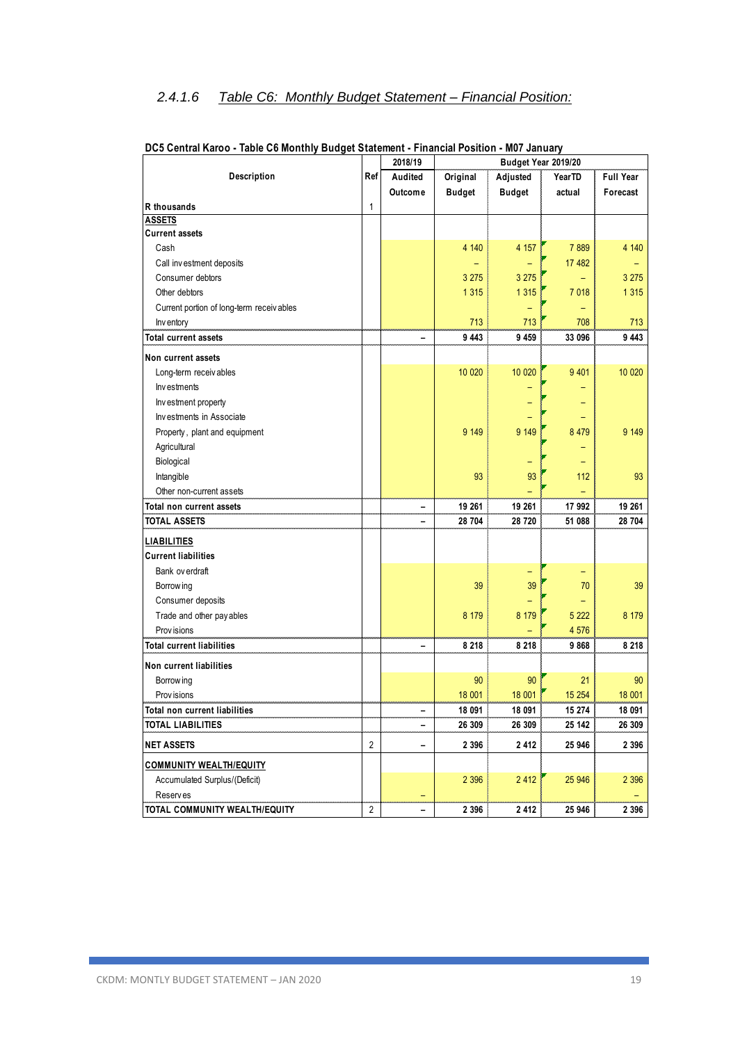### *2.4.1.6 Table C6: Monthly Budget Statement – Financial Position:*

|                                          |                | 2018/19                  | Budget Year 2019/20 |               |         |                  |  |  |  |
|------------------------------------------|----------------|--------------------------|---------------------|---------------|---------|------------------|--|--|--|
| Description                              | Ref            | Audited                  | Original            | Adjusted      | YearTD  | <b>Full Year</b> |  |  |  |
|                                          |                | Outcome                  | <b>Budget</b>       | <b>Budget</b> | actual  | Forecast         |  |  |  |
| R thousands                              | $\mathbf{1}$   |                          |                     |               |         |                  |  |  |  |
| <b>ASSETS</b>                            |                |                          |                     |               |         |                  |  |  |  |
| <b>Current assets</b>                    |                |                          |                     |               |         |                  |  |  |  |
| Cash                                     |                |                          | 4 140               | 4 1 5 7       | 7889    | 4 140            |  |  |  |
| Call investment deposits                 |                |                          | -                   |               | 17 482  |                  |  |  |  |
| Consumer debtors                         |                |                          | 3 2 7 5             | 3 2 7 5       | ÷       | 3 2 7 5          |  |  |  |
| Other debtors                            |                |                          | 1 3 1 5             | 1315          | 7 0 18  | 1 3 1 5          |  |  |  |
| Current portion of long-term receivables |                |                          |                     |               |         |                  |  |  |  |
| Inventory                                |                |                          | 713                 | 713           | 708     | 713              |  |  |  |
| <b>Total current assets</b>              |                | $\overline{a}$           | 9 4 4 3             | 9 4 5 9       | 33 096  | 9 4 4 3          |  |  |  |
| Non current assets                       |                |                          |                     |               |         |                  |  |  |  |
| Long-term receivables                    |                |                          | 10 0 20             | 10 0 20       | 9 4 0 1 | 10 0 20          |  |  |  |
| Investments                              |                |                          |                     |               |         |                  |  |  |  |
| Investment property                      |                |                          |                     |               |         |                  |  |  |  |
| Investments in Associate                 |                |                          |                     |               |         |                  |  |  |  |
| Property, plant and equipment            |                |                          | 9 1 4 9             | 9 1 4 9       | 8 4 7 9 | 9 1 4 9          |  |  |  |
| Agricultural                             |                |                          |                     |               |         |                  |  |  |  |
| Biological                               |                |                          |                     |               |         |                  |  |  |  |
| Intangible                               |                |                          | 93                  | 93            | 112     | 93               |  |  |  |
| Other non-current assets                 |                |                          |                     |               |         |                  |  |  |  |
| Total non current assets                 |                | $\overline{\phantom{0}}$ | 19 261              | 19 261        | 17 992  | 19 261           |  |  |  |
| <b>TOTAL ASSETS</b>                      |                | ۳                        | 28 704              | 28 720        | 51 088  | 28 704           |  |  |  |
| <b>LIABILITIES</b>                       |                |                          |                     |               |         |                  |  |  |  |
| <b>Current liabilities</b>               |                |                          |                     |               |         |                  |  |  |  |
| Bank ov erdraft                          |                |                          |                     |               |         |                  |  |  |  |
| Borrow ing                               |                |                          | 39                  | 39            | 70      | 39               |  |  |  |
| Consumer deposits                        |                |                          |                     |               |         |                  |  |  |  |
| Trade and other pay ables                |                |                          | 8 1 7 9             | 8 1 7 9       | 5 2 2 2 | 8 1 7 9          |  |  |  |
| <b>Provisions</b>                        |                |                          |                     |               | 4 576   |                  |  |  |  |
| <b>Total current liabilities</b>         |                |                          | 8 2 1 8             | 8 2 1 8       | 9868    | 8 2 1 8          |  |  |  |
| Non current liabilities                  |                |                          |                     |               |         |                  |  |  |  |
| Borrow ing                               |                |                          | 90                  | 90            | 21      | 90               |  |  |  |
| Prov isions                              |                |                          | 18 001              | 18 001        | 15 2 54 | 18 001           |  |  |  |
| Total non current liabilities            |                |                          | 18 091              | 18 091        | 15 274  | 18 091           |  |  |  |
| TOTAL LIABILITIES                        |                |                          | 26 309              | 26 309        | 25 142  | 26 309           |  |  |  |
| <b>NET ASSETS</b>                        | $\overline{2}$ | $\qquad \qquad -$        | 2 3 9 6             | 2 4 1 2       | 25 946  | 2 3 9 6          |  |  |  |
| <b>COMMUNITY WEALTH/EQUITY</b>           |                |                          |                     |               |         |                  |  |  |  |
| Accumulated Surplus/(Deficit)            |                |                          | 2 3 9 6             | 2412          | 25 946  | 2 3 9 6          |  |  |  |
| <b>Reserves</b>                          |                | -                        |                     |               |         |                  |  |  |  |
| TOTAL COMMUNITY WEALTH/EQUITY            | $\sqrt{2}$     | -                        | 2 3 9 6             | 2 4 1 2       | 25 946  | 2 3 9 6          |  |  |  |

#### **DC5 Central Karoo - Table C6 Monthly Budget Statement - Financial Position - M07 January**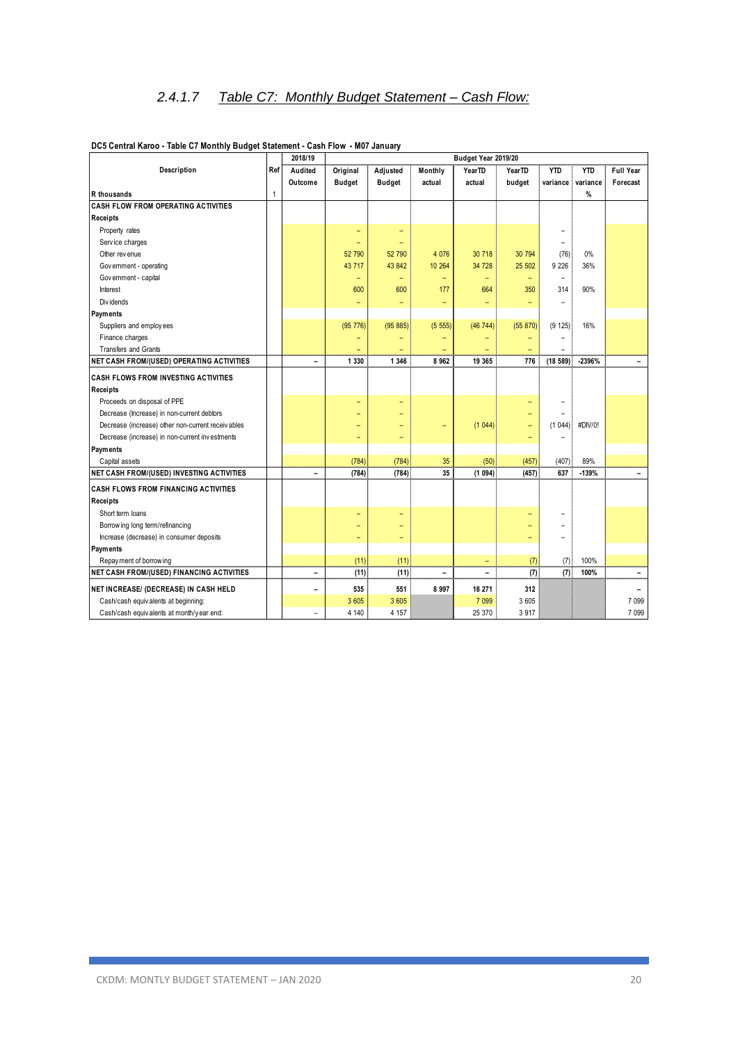### *2.4.1.7 Table C7: Monthly Budget Statement – Cash Flow:*

|                                                   |     | 2018/19                  | Budget Year 2019/20      |                          |                          |                          |          |                          |            |                          |
|---------------------------------------------------|-----|--------------------------|--------------------------|--------------------------|--------------------------|--------------------------|----------|--------------------------|------------|--------------------------|
| Description                                       | Ref | Audited                  | Original                 | Adjusted                 | Monthly                  | YearTD                   | YearTD   | <b>YTD</b>               | <b>YTD</b> | <b>Full Year</b>         |
|                                                   |     | Outcome                  | <b>Budget</b>            | Budget                   | actual                   | actual                   | budget   | variance                 | variance   | Forecast                 |
| R thousands                                       | 1   |                          |                          |                          |                          |                          |          |                          | %          |                          |
| <b>CASH FLOW FROM OPERATING ACTIVITIES</b>        |     |                          |                          |                          |                          |                          |          |                          |            |                          |
| Receipts                                          |     |                          |                          |                          |                          |                          |          |                          |            |                          |
| Property rates                                    |     |                          | $\qquad \qquad -$        | -                        |                          |                          |          |                          |            |                          |
| Service charges                                   |     |                          | ÷                        | $=$                      |                          |                          |          | L.                       |            |                          |
| Other revenue                                     |     |                          | 52 790                   | 52 790                   | 4 0 76                   | 30 718                   | 30 794   | (76)                     | 0%         |                          |
| Government - operating                            |     |                          | 43 717                   | 43 842                   | 10 264                   | 34 728                   | 25 502   | 9 2 2 6                  | 36%        |                          |
| Government - capital                              |     |                          | $\qquad \qquad -$        | ۳                        | $\qquad \qquad -$        | ۰                        | -        | $\qquad \qquad -$        |            |                          |
| Interest                                          |     |                          | 600                      | 600                      | 177                      | 664                      | 350      | 314                      | 90%        |                          |
| Div idends                                        |     |                          | $\equiv$                 | -                        | $\equiv$                 | $\overline{\phantom{0}}$ | ۳        | $\overline{\phantom{0}}$ |            |                          |
| Payments                                          |     |                          |                          |                          |                          |                          |          |                          |            |                          |
| Suppliers and employees                           |     |                          | (95 776)                 | (95 885)                 | (5555)                   | (46744)                  | (55 870) | (9 125)                  | 16%        |                          |
| Finance charges                                   |     |                          | $\qquad \qquad -$        |                          |                          |                          |          |                          |            |                          |
| <b>Transfers and Grants</b>                       |     |                          |                          |                          |                          |                          |          |                          |            |                          |
| <b>NET CASH FROM/(USED) OPERATING ACTIVITIES</b>  |     | $\overline{a}$           | 1 3 3 0                  | 1 3 4 6                  | 8962                     | 19 365                   | 776      | (18, 589)                | -2396%     |                          |
| <b>CASH FLOWS FROM INVESTING ACTIVITIES</b>       |     |                          |                          |                          |                          |                          |          |                          |            |                          |
| <b>Receipts</b>                                   |     |                          |                          |                          |                          |                          |          |                          |            |                          |
| Proceeds on disposal of PPE                       |     |                          | ۳                        |                          |                          |                          |          |                          |            |                          |
| Decrease (Increase) in non-current debtors        |     |                          | -                        | -                        |                          |                          | ۳        |                          |            |                          |
| Decrease (increase) other non-current receivables |     |                          |                          |                          | ۳                        | (1044)                   | ÷        | (1044)                   | #DIV/0!    |                          |
| Decrease (increase) in non-current investments    |     |                          | $\qquad \qquad -$        | $\overline{\phantom{0}}$ |                          |                          | ۳        |                          |            |                          |
| Payments                                          |     |                          |                          |                          |                          |                          |          |                          |            |                          |
| Capital assets                                    |     |                          | (784)                    | (784)                    | 35                       | (50)                     | (457)    | (407)                    | 89%        |                          |
| NET CASH FROM/(USED) INVESTING ACTIVITIES         |     | $\overline{a}$           | (784)                    | (784)                    | 35                       | (1094)                   | (457)    | 637                      | $-139%$    | $\overline{\phantom{0}}$ |
| <b>CASH FLOWS FROM FINANCING ACTIVITIES</b>       |     |                          |                          |                          |                          |                          |          |                          |            |                          |
| <b>Receipts</b>                                   |     |                          |                          |                          |                          |                          |          |                          |            |                          |
| Short term loans                                  |     |                          | ۳                        | -                        |                          |                          | ۳        |                          |            |                          |
| Borrow ing long term/refinancing                  |     |                          | $\overline{\phantom{0}}$ |                          |                          |                          |          |                          |            |                          |
| Increase (decrease) in consumer deposits          |     |                          | $\qquad \qquad -$        | -                        |                          |                          |          |                          |            |                          |
| Payments                                          |     |                          |                          |                          |                          |                          |          |                          |            |                          |
| Repay ment of borrowing                           |     |                          | (11)                     | (11)                     |                          | $\overline{\phantom{a}}$ | (7)      | (7)                      | 100%       |                          |
| <b>NET CASH FROM/(USED) FINANCING ACTIVITIES</b>  |     | $\overline{a}$           | (11)                     | (11)                     | $\overline{\phantom{0}}$ | $\overline{\phantom{0}}$ | (7)      | (7)                      | 100%       |                          |
| NET INCREASE/ (DECREASE) IN CASH HELD             |     | $\overline{\phantom{0}}$ | 535                      | 551                      | 8997                     | 18 271                   | 312      |                          |            |                          |
| Cash/cash equivalents at beginning:               |     |                          | 3 605                    | 3 6 0 5                  |                          | 7 0 9 9                  | 3 605    |                          |            | 7 0 9 9                  |
| Cash/cash equivalents at month/y ear end:         |     | $\rightarrow$            | 4 140                    | 4 1 5 7                  |                          | 25 370                   | 3 9 1 7  |                          |            | 7 0 9 9                  |
|                                                   |     |                          |                          |                          |                          |                          |          |                          |            |                          |

#### **DC5 Central Karoo - Table C7 Monthly Budget Statement - Cash Flow - M07 January**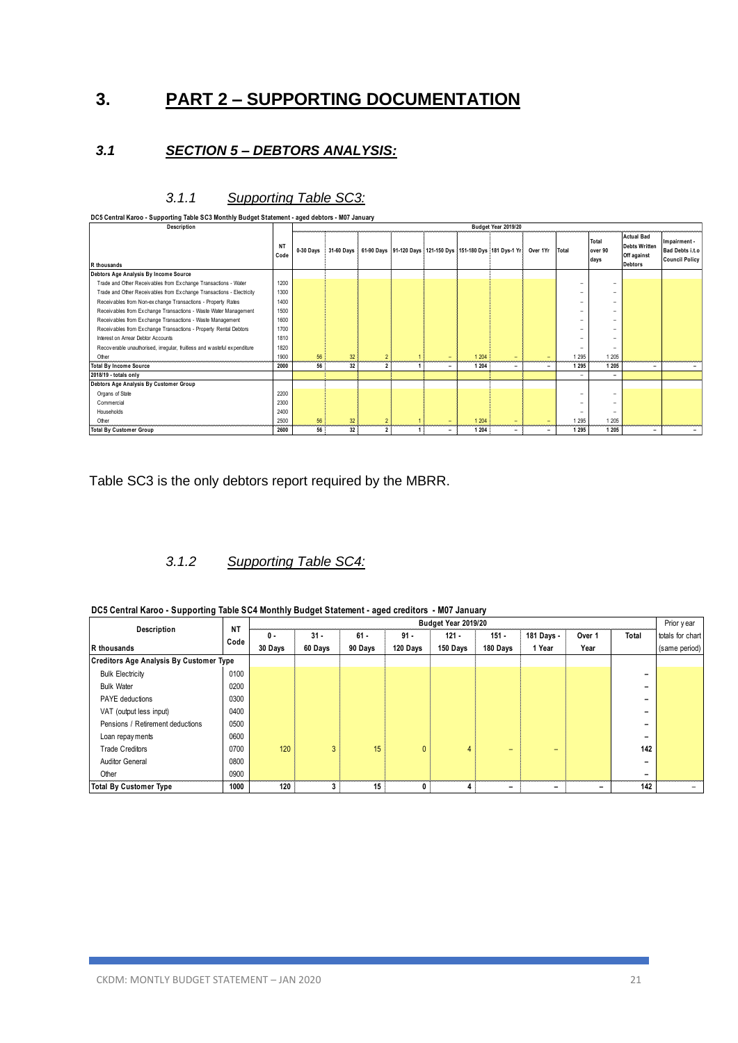### **3. PART 2 – SUPPORTING DOCUMENTATION**

### *3.1 SECTION 5 – DEBTORS ANALYSIS:*

### *3.1.1 Supporting Table SC3:*

|                                                                         | DC5 Central Karoo - Supporting Table SC3 Monthly Budget Statement - aged debtors - M07 January |           |                 |                |                |                          |         |                                                             |                          |                          |                          |                                                                            |                                                          |
|-------------------------------------------------------------------------|------------------------------------------------------------------------------------------------|-----------|-----------------|----------------|----------------|--------------------------|---------|-------------------------------------------------------------|--------------------------|--------------------------|--------------------------|----------------------------------------------------------------------------|----------------------------------------------------------|
| Description                                                             |                                                                                                |           |                 |                |                |                          |         | Budget Year 2019/20                                         |                          |                          |                          |                                                                            |                                                          |
| R thousands                                                             | <b>NT</b><br>Code                                                                              | 0-30 Days | 31-60 Days      |                |                |                          |         | 61-90 Days 91-120 Days 121-150 Dys 151-180 Dys 181 Dys-1 Yr | Over 1Yr                 | Total                    | Total<br>over 90<br>days | <b>Actual Bad</b><br><b>Debts Written</b><br>Off against<br><b>Debtors</b> | Impairment -<br>Bad Debts i.t.o<br><b>Council Policy</b> |
| Debtors Age Analysis By Income Source                                   |                                                                                                |           |                 |                |                |                          |         |                                                             |                          |                          |                          |                                                                            |                                                          |
| Trade and Other Receivables from Exchange Transactions - Water          | 1200                                                                                           |           |                 |                |                |                          |         |                                                             |                          | $\overline{\phantom{a}}$ | $\overline{\phantom{a}}$ |                                                                            |                                                          |
| Trade and Other Receivables from Exchange Transactions - Electricity    | 1300                                                                                           |           |                 |                |                |                          |         |                                                             |                          |                          | $\overline{\phantom{a}}$ |                                                                            |                                                          |
| Receivables from Non-exchange Transactions - Property Rates             | 1400                                                                                           |           |                 |                |                |                          |         |                                                             |                          | -                        | $\overline{\phantom{0}}$ |                                                                            |                                                          |
| Receivables from Exchange Transactions - Waste Water Management         | 1500                                                                                           |           |                 |                |                |                          |         |                                                             |                          | $\overline{\phantom{a}}$ | $\overline{\phantom{0}}$ |                                                                            |                                                          |
| Receivables from Exchange Transactions - Waste Management               | 1600                                                                                           |           |                 |                |                |                          |         |                                                             |                          | $\overline{\phantom{a}}$ | $\overline{\phantom{0}}$ |                                                                            |                                                          |
| Receivables from Exchange Transactions - Property Rental Debtors        | 1700                                                                                           |           |                 |                |                |                          |         |                                                             |                          |                          |                          |                                                                            |                                                          |
| Interest on Arrear Debtor Accounts                                      | 1810                                                                                           |           |                 |                |                |                          |         |                                                             |                          |                          | $\overline{\phantom{a}}$ |                                                                            |                                                          |
| Recoverable unauthorised, irregular, fruitless and wasteful expenditure | 1820                                                                                           |           |                 |                |                |                          |         |                                                             |                          |                          | $\overline{\phantom{a}}$ |                                                                            |                                                          |
| Other                                                                   | 1900                                                                                           | 56        | 32 <sup>2</sup> | $\overline{2}$ |                | ٠                        | 1 2 0 4 | $\overline{\phantom{0}}$                                    | $\overline{\phantom{0}}$ | 1 2 9 5                  | 1 205                    |                                                                            |                                                          |
| <b>Total By Income Source</b>                                           | 2000                                                                                           | 56        | 32              | $\overline{2}$ | -1             | $\overline{\phantom{0}}$ | 1 2 0 4 | $\overline{\phantom{a}}$                                    | -                        | 1 2 9 5                  | 1 2 0 5                  | -                                                                          | $\sim$                                                   |
| 2018/19 - totals only                                                   |                                                                                                |           |                 |                |                |                          |         |                                                             |                          | $\overline{\phantom{a}}$ | $\overline{\phantom{a}}$ |                                                                            |                                                          |
| Debtors Age Analysis By Customer Group                                  |                                                                                                |           |                 |                |                |                          |         |                                                             |                          |                          |                          |                                                                            |                                                          |
| Organs of State                                                         | 2200                                                                                           |           |                 |                |                |                          |         |                                                             |                          | $\overline{\phantom{a}}$ | $\overline{\phantom{a}}$ |                                                                            |                                                          |
| Commercial                                                              | 2300                                                                                           |           |                 |                |                |                          |         |                                                             |                          |                          | $\overline{\phantom{a}}$ |                                                                            |                                                          |
| Households                                                              | 2400                                                                                           |           |                 |                |                |                          |         |                                                             |                          |                          | $\overline{\phantom{a}}$ |                                                                            |                                                          |
| Other                                                                   | 2500                                                                                           | 56        | 32 <sub>2</sub> | $\overline{2}$ |                | $-$                      | 1 2 0 4 | $\overline{\phantom{0}}$                                    | -                        | 1 2 9 5                  | 1 205                    |                                                                            |                                                          |
| <b>Total By Customer Group</b>                                          | 2600                                                                                           | 56        | 32              | $\overline{2}$ | $\overline{ }$ | -                        | 1 2 0 4 | -                                                           | $\overline{\phantom{0}}$ | 1 2 9 5                  | 1 2 0 5                  |                                                                            |                                                          |

Table SC3 is the only debtors report required by the MBRR.

### *3.1.2 Supporting Table SC4:*

| DC5 Central Karoo - Supporting Table SC4 Monthly Budget Statement - aged creditors - M07 January |  |  |  |  |
|--------------------------------------------------------------------------------------------------|--|--|--|--|
|--------------------------------------------------------------------------------------------------|--|--|--|--|

| DC5 Central Karoo - Supporting Table SC4 Monthly Budget Statement - aged creditors - M07 January<br>Budget Year 2019/20 |           |         |                                                                                   |         |              |          |          |        |                          |                          |                                   |  |
|-------------------------------------------------------------------------------------------------------------------------|-----------|---------|-----------------------------------------------------------------------------------|---------|--------------|----------|----------|--------|--------------------------|--------------------------|-----------------------------------|--|
| Description                                                                                                             | <b>NT</b> | 0 -     | $151 -$<br>181 Days -<br>$31 -$<br>$61 -$<br>$91 -$<br>$121 -$<br>Over 1<br>Total |         |              |          |          |        |                          |                          |                                   |  |
| R thousands                                                                                                             | Code      | 30 Days | 60 Days                                                                           | 90 Days | 120 Days     | 150 Days | 180 Days | 1 Year | Year                     |                          | totals for chart<br>(same period) |  |
| <b>Creditors Age Analysis By Customer Type</b>                                                                          |           |         |                                                                                   |         |              |          |          |        |                          |                          |                                   |  |
| <b>Bulk Electricity</b>                                                                                                 | 0100      |         |                                                                                   |         |              |          |          |        |                          | -                        |                                   |  |
| <b>Bulk Water</b>                                                                                                       | 0200      |         |                                                                                   |         |              |          |          |        |                          | -                        |                                   |  |
| <b>PAYE</b> deductions                                                                                                  | 0300      |         |                                                                                   |         |              |          |          |        |                          | ۰                        |                                   |  |
| VAT (output less input)                                                                                                 | 0400      |         |                                                                                   |         |              |          |          |        |                          | $\overline{\phantom{0}}$ |                                   |  |
| Pensions / Retirement deductions                                                                                        | 0500      |         |                                                                                   |         |              |          |          |        |                          | $\overline{\phantom{0}}$ |                                   |  |
| Loan repay ments                                                                                                        | 0600      |         |                                                                                   |         |              |          |          |        |                          | $\overline{\phantom{0}}$ |                                   |  |
| <b>Trade Creditors</b>                                                                                                  | 0700      | 120     | 3                                                                                 | 15      | $\mathbf{0}$ | 4        |          | ٠      |                          | 142                      |                                   |  |
| <b>Auditor General</b>                                                                                                  | 0800      |         |                                                                                   |         |              |          |          |        |                          | $\overline{\phantom{0}}$ |                                   |  |
| Other                                                                                                                   | 0900      |         |                                                                                   |         |              |          |          |        |                          |                          |                                   |  |
| <b>Total By Customer Type</b>                                                                                           | 1000      | 120     | 3                                                                                 | 15      | 0            | 4        | -        | -      | $\overline{\phantom{a}}$ | 142                      |                                   |  |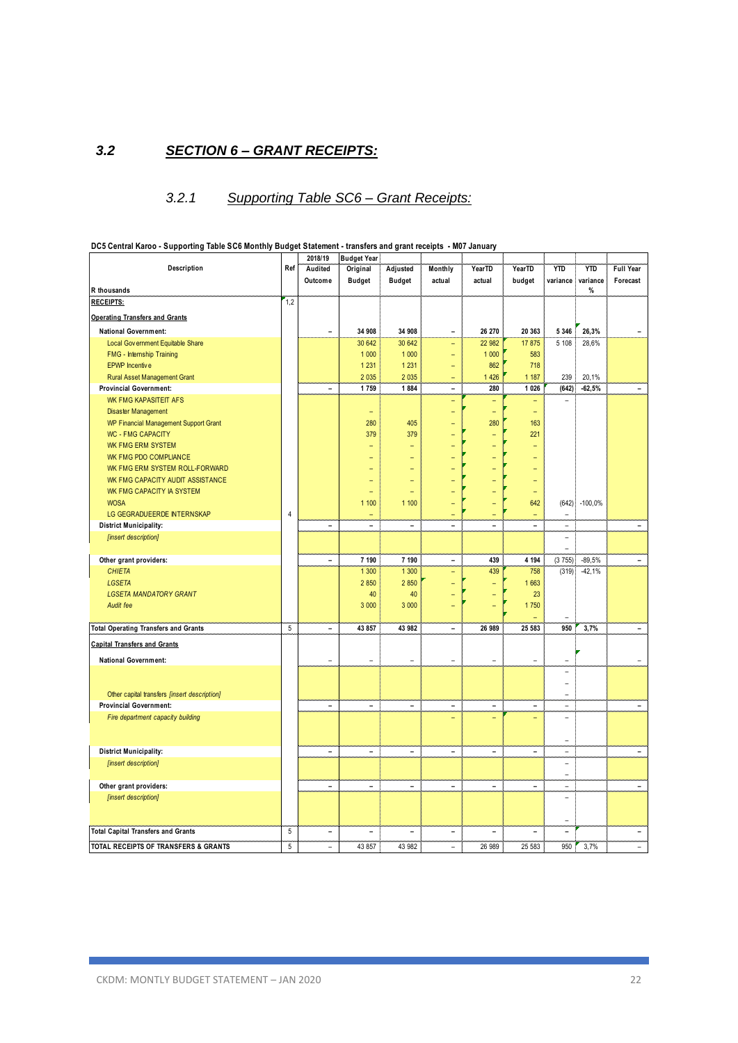### *3.2 SECTION 6 – GRANT RECEIPTS:*

### *3.2.1 Supporting Table SC6 – Grant Receipts:*

| Description<br>Ref<br>Audited<br>Original<br>Adjusted<br>YearTD<br>YearTD<br><b>YTD</b><br><b>YTD</b><br>Full Year<br>Monthly<br>Outcome<br><b>Budget</b><br><b>Budget</b><br>actual<br>actual<br>budget<br>variance<br>variance<br>Forecast<br>R thousands<br>%<br>1,2<br><b>RECEIPTS:</b><br><b>Operating Transfers and Grants</b><br>34 908<br>34 908<br>26,3%<br><b>National Government:</b><br>26 270<br>20 363<br>5 3 4 6<br>Ξ<br>$\overline{a}$<br>30 642<br>30 642<br>17875<br>5 1 0 8<br>Local Gov ernment Equitable Share<br>22 982<br>28,6%<br>$\equiv$<br>1 0 0 0<br>1 0 0 0<br>1 0 0 0<br>583<br>FMG - Internship Training<br>۳<br>1 2 3 1<br>1 2 3 1<br>862<br>718<br><b>EPWP</b> Incentive<br>-<br>2 0 3 5<br>2 0 3 5<br>1 4 2 6<br>1 1 8 7<br>239<br>20,1%<br><b>Rural Asset Management Grant</b><br>1884<br>1 0 26<br>(642)<br>$-62,5%$<br><b>Provincial Government:</b><br>1759<br>280<br>$\overline{a}$<br>÷.<br><b>WK FMG KAPASITEIT AFS</b><br>$\qquad \qquad -$<br><b>Disaster Management</b><br>÷<br>280<br>405<br>280<br>163<br><b>WP Financial Management Support Grant</b><br><b>WC - FMG CAPACITY</b><br>379<br>379<br>221<br>۳<br><b>WK FMG ERM SYSTEM</b><br>۰<br>WK FMG PDO COMPLIANCE<br>WK FMG ERM SYSTEM ROLL-FORWARD<br>WK FMG CAPACITY AUDIT ASSISTANCE<br>WK FMG CAPACITY IA SYSTEM<br>÷<br><b>WOSA</b><br>1 100<br>1 100<br>642<br>(642)<br>$-100,0%$<br>LG GEGRADUEERDE INTERNSKAP<br>$\overline{4}$<br>$\qquad \qquad -$<br>-<br>٠<br>۰<br><b>District Municipality:</b><br>$\blacksquare$<br>-<br>Ξ<br>-<br>÷<br>$\overline{a}$<br>[insert description]<br>÷<br>7 190<br>4 1 9 4<br>Other grant providers:<br>7 190<br>439<br>(3755)<br>$-89,5%$<br>$\blacksquare$<br>$\overline{a}$<br><b>CHIETA</b><br>1 300<br>1 300<br>439<br>(319)<br>$-42,1%$<br>758<br>2 8 5 0<br><b>LGSETA</b><br>2 8 5 0<br>1663<br>÷<br>40<br><b>LGSETA MANDATORY GRANT</b><br>40<br>23<br>Audit fee<br>3 0 0 0<br>3 0 0 0<br>1750<br>5<br><b>Total Operating Transfers and Grants</b><br>43 857<br>43 982<br>26 989<br>25 583<br>950<br>3.7%<br>$\overline{a}$<br>$\overline{a}$<br><b>National Government:</b><br>L,<br>L,<br>$\overline{a}$<br>L,<br>÷<br>Other capital transfers [insert description]<br>۳<br><b>Provincial Government:</b><br>$\overline{\phantom{a}}$<br>$\frac{1}{2}$<br>$\frac{1}{2}$<br>$\overline{\phantom{0}}$<br>$\qquad \qquad \blacksquare$<br>÷,<br>÷,<br>Fire department capacity building<br>L,<br>÷<br><b>District Municipality:</b><br>$\frac{1}{2}$<br>÷,<br>$\frac{1}{2}$<br>$\overline{\phantom{0}}$<br>$\overline{a}$<br>$\overline{a}$<br>÷,<br>[insert description]<br>L.<br>$\overline{\phantom{0}}$<br>Other grant providers:<br>$\qquad \qquad \blacksquare$<br>÷<br>$\qquad \qquad \blacksquare$<br>$\overline{\phantom{0}}$<br>$\qquad \qquad \blacksquare$<br>$\overline{\phantom{0}}$<br>÷,<br>[insert description]<br>$\overline{a}$<br>$\sqrt{5}$<br>$\blacksquare$<br>$\blacksquare$<br>$\overline{\phantom{0}}$<br>۳<br>$\rightarrow$<br>Ē,<br>5<br>43 857<br>43 982<br>26 989<br>25 583<br>950<br>3,7%<br>$\overline{\phantom{a}}$<br>÷.<br>$\equiv$ |                                           | 2018/19 | <b>Budget Year</b> |  |  |  |  |
|-----------------------------------------------------------------------------------------------------------------------------------------------------------------------------------------------------------------------------------------------------------------------------------------------------------------------------------------------------------------------------------------------------------------------------------------------------------------------------------------------------------------------------------------------------------------------------------------------------------------------------------------------------------------------------------------------------------------------------------------------------------------------------------------------------------------------------------------------------------------------------------------------------------------------------------------------------------------------------------------------------------------------------------------------------------------------------------------------------------------------------------------------------------------------------------------------------------------------------------------------------------------------------------------------------------------------------------------------------------------------------------------------------------------------------------------------------------------------------------------------------------------------------------------------------------------------------------------------------------------------------------------------------------------------------------------------------------------------------------------------------------------------------------------------------------------------------------------------------------------------------------------------------------------------------------------------------------------------------------------------------------------------------------------------------------------------------------------------------------------------------------------------------------------------------------------------------------------------------------------------------------------------------------------------------------------------------------------------------------------------------------------------------------------------------------------------------------------------------------------------------------------------------------------------------------------------------------------------------------------------------------------------------------------------------------------------------------------------------------------------------------------------------------------------------------------------------------------------------------------------------------------------------------------------------------------------------------------------------------------------------------------------------------------------------------------------------------------------------------------------------|-------------------------------------------|---------|--------------------|--|--|--|--|
|                                                                                                                                                                                                                                                                                                                                                                                                                                                                                                                                                                                                                                                                                                                                                                                                                                                                                                                                                                                                                                                                                                                                                                                                                                                                                                                                                                                                                                                                                                                                                                                                                                                                                                                                                                                                                                                                                                                                                                                                                                                                                                                                                                                                                                                                                                                                                                                                                                                                                                                                                                                                                                                                                                                                                                                                                                                                                                                                                                                                                                                                                                                             |                                           |         |                    |  |  |  |  |
|                                                                                                                                                                                                                                                                                                                                                                                                                                                                                                                                                                                                                                                                                                                                                                                                                                                                                                                                                                                                                                                                                                                                                                                                                                                                                                                                                                                                                                                                                                                                                                                                                                                                                                                                                                                                                                                                                                                                                                                                                                                                                                                                                                                                                                                                                                                                                                                                                                                                                                                                                                                                                                                                                                                                                                                                                                                                                                                                                                                                                                                                                                                             |                                           |         |                    |  |  |  |  |
|                                                                                                                                                                                                                                                                                                                                                                                                                                                                                                                                                                                                                                                                                                                                                                                                                                                                                                                                                                                                                                                                                                                                                                                                                                                                                                                                                                                                                                                                                                                                                                                                                                                                                                                                                                                                                                                                                                                                                                                                                                                                                                                                                                                                                                                                                                                                                                                                                                                                                                                                                                                                                                                                                                                                                                                                                                                                                                                                                                                                                                                                                                                             |                                           |         |                    |  |  |  |  |
|                                                                                                                                                                                                                                                                                                                                                                                                                                                                                                                                                                                                                                                                                                                                                                                                                                                                                                                                                                                                                                                                                                                                                                                                                                                                                                                                                                                                                                                                                                                                                                                                                                                                                                                                                                                                                                                                                                                                                                                                                                                                                                                                                                                                                                                                                                                                                                                                                                                                                                                                                                                                                                                                                                                                                                                                                                                                                                                                                                                                                                                                                                                             |                                           |         |                    |  |  |  |  |
|                                                                                                                                                                                                                                                                                                                                                                                                                                                                                                                                                                                                                                                                                                                                                                                                                                                                                                                                                                                                                                                                                                                                                                                                                                                                                                                                                                                                                                                                                                                                                                                                                                                                                                                                                                                                                                                                                                                                                                                                                                                                                                                                                                                                                                                                                                                                                                                                                                                                                                                                                                                                                                                                                                                                                                                                                                                                                                                                                                                                                                                                                                                             |                                           |         |                    |  |  |  |  |
|                                                                                                                                                                                                                                                                                                                                                                                                                                                                                                                                                                                                                                                                                                                                                                                                                                                                                                                                                                                                                                                                                                                                                                                                                                                                                                                                                                                                                                                                                                                                                                                                                                                                                                                                                                                                                                                                                                                                                                                                                                                                                                                                                                                                                                                                                                                                                                                                                                                                                                                                                                                                                                                                                                                                                                                                                                                                                                                                                                                                                                                                                                                             |                                           |         |                    |  |  |  |  |
|                                                                                                                                                                                                                                                                                                                                                                                                                                                                                                                                                                                                                                                                                                                                                                                                                                                                                                                                                                                                                                                                                                                                                                                                                                                                                                                                                                                                                                                                                                                                                                                                                                                                                                                                                                                                                                                                                                                                                                                                                                                                                                                                                                                                                                                                                                                                                                                                                                                                                                                                                                                                                                                                                                                                                                                                                                                                                                                                                                                                                                                                                                                             |                                           |         |                    |  |  |  |  |
|                                                                                                                                                                                                                                                                                                                                                                                                                                                                                                                                                                                                                                                                                                                                                                                                                                                                                                                                                                                                                                                                                                                                                                                                                                                                                                                                                                                                                                                                                                                                                                                                                                                                                                                                                                                                                                                                                                                                                                                                                                                                                                                                                                                                                                                                                                                                                                                                                                                                                                                                                                                                                                                                                                                                                                                                                                                                                                                                                                                                                                                                                                                             |                                           |         |                    |  |  |  |  |
|                                                                                                                                                                                                                                                                                                                                                                                                                                                                                                                                                                                                                                                                                                                                                                                                                                                                                                                                                                                                                                                                                                                                                                                                                                                                                                                                                                                                                                                                                                                                                                                                                                                                                                                                                                                                                                                                                                                                                                                                                                                                                                                                                                                                                                                                                                                                                                                                                                                                                                                                                                                                                                                                                                                                                                                                                                                                                                                                                                                                                                                                                                                             |                                           |         |                    |  |  |  |  |
|                                                                                                                                                                                                                                                                                                                                                                                                                                                                                                                                                                                                                                                                                                                                                                                                                                                                                                                                                                                                                                                                                                                                                                                                                                                                                                                                                                                                                                                                                                                                                                                                                                                                                                                                                                                                                                                                                                                                                                                                                                                                                                                                                                                                                                                                                                                                                                                                                                                                                                                                                                                                                                                                                                                                                                                                                                                                                                                                                                                                                                                                                                                             |                                           |         |                    |  |  |  |  |
|                                                                                                                                                                                                                                                                                                                                                                                                                                                                                                                                                                                                                                                                                                                                                                                                                                                                                                                                                                                                                                                                                                                                                                                                                                                                                                                                                                                                                                                                                                                                                                                                                                                                                                                                                                                                                                                                                                                                                                                                                                                                                                                                                                                                                                                                                                                                                                                                                                                                                                                                                                                                                                                                                                                                                                                                                                                                                                                                                                                                                                                                                                                             |                                           |         |                    |  |  |  |  |
|                                                                                                                                                                                                                                                                                                                                                                                                                                                                                                                                                                                                                                                                                                                                                                                                                                                                                                                                                                                                                                                                                                                                                                                                                                                                                                                                                                                                                                                                                                                                                                                                                                                                                                                                                                                                                                                                                                                                                                                                                                                                                                                                                                                                                                                                                                                                                                                                                                                                                                                                                                                                                                                                                                                                                                                                                                                                                                                                                                                                                                                                                                                             |                                           |         |                    |  |  |  |  |
|                                                                                                                                                                                                                                                                                                                                                                                                                                                                                                                                                                                                                                                                                                                                                                                                                                                                                                                                                                                                                                                                                                                                                                                                                                                                                                                                                                                                                                                                                                                                                                                                                                                                                                                                                                                                                                                                                                                                                                                                                                                                                                                                                                                                                                                                                                                                                                                                                                                                                                                                                                                                                                                                                                                                                                                                                                                                                                                                                                                                                                                                                                                             |                                           |         |                    |  |  |  |  |
|                                                                                                                                                                                                                                                                                                                                                                                                                                                                                                                                                                                                                                                                                                                                                                                                                                                                                                                                                                                                                                                                                                                                                                                                                                                                                                                                                                                                                                                                                                                                                                                                                                                                                                                                                                                                                                                                                                                                                                                                                                                                                                                                                                                                                                                                                                                                                                                                                                                                                                                                                                                                                                                                                                                                                                                                                                                                                                                                                                                                                                                                                                                             |                                           |         |                    |  |  |  |  |
|                                                                                                                                                                                                                                                                                                                                                                                                                                                                                                                                                                                                                                                                                                                                                                                                                                                                                                                                                                                                                                                                                                                                                                                                                                                                                                                                                                                                                                                                                                                                                                                                                                                                                                                                                                                                                                                                                                                                                                                                                                                                                                                                                                                                                                                                                                                                                                                                                                                                                                                                                                                                                                                                                                                                                                                                                                                                                                                                                                                                                                                                                                                             |                                           |         |                    |  |  |  |  |
|                                                                                                                                                                                                                                                                                                                                                                                                                                                                                                                                                                                                                                                                                                                                                                                                                                                                                                                                                                                                                                                                                                                                                                                                                                                                                                                                                                                                                                                                                                                                                                                                                                                                                                                                                                                                                                                                                                                                                                                                                                                                                                                                                                                                                                                                                                                                                                                                                                                                                                                                                                                                                                                                                                                                                                                                                                                                                                                                                                                                                                                                                                                             |                                           |         |                    |  |  |  |  |
|                                                                                                                                                                                                                                                                                                                                                                                                                                                                                                                                                                                                                                                                                                                                                                                                                                                                                                                                                                                                                                                                                                                                                                                                                                                                                                                                                                                                                                                                                                                                                                                                                                                                                                                                                                                                                                                                                                                                                                                                                                                                                                                                                                                                                                                                                                                                                                                                                                                                                                                                                                                                                                                                                                                                                                                                                                                                                                                                                                                                                                                                                                                             |                                           |         |                    |  |  |  |  |
|                                                                                                                                                                                                                                                                                                                                                                                                                                                                                                                                                                                                                                                                                                                                                                                                                                                                                                                                                                                                                                                                                                                                                                                                                                                                                                                                                                                                                                                                                                                                                                                                                                                                                                                                                                                                                                                                                                                                                                                                                                                                                                                                                                                                                                                                                                                                                                                                                                                                                                                                                                                                                                                                                                                                                                                                                                                                                                                                                                                                                                                                                                                             |                                           |         |                    |  |  |  |  |
|                                                                                                                                                                                                                                                                                                                                                                                                                                                                                                                                                                                                                                                                                                                                                                                                                                                                                                                                                                                                                                                                                                                                                                                                                                                                                                                                                                                                                                                                                                                                                                                                                                                                                                                                                                                                                                                                                                                                                                                                                                                                                                                                                                                                                                                                                                                                                                                                                                                                                                                                                                                                                                                                                                                                                                                                                                                                                                                                                                                                                                                                                                                             |                                           |         |                    |  |  |  |  |
|                                                                                                                                                                                                                                                                                                                                                                                                                                                                                                                                                                                                                                                                                                                                                                                                                                                                                                                                                                                                                                                                                                                                                                                                                                                                                                                                                                                                                                                                                                                                                                                                                                                                                                                                                                                                                                                                                                                                                                                                                                                                                                                                                                                                                                                                                                                                                                                                                                                                                                                                                                                                                                                                                                                                                                                                                                                                                                                                                                                                                                                                                                                             |                                           |         |                    |  |  |  |  |
|                                                                                                                                                                                                                                                                                                                                                                                                                                                                                                                                                                                                                                                                                                                                                                                                                                                                                                                                                                                                                                                                                                                                                                                                                                                                                                                                                                                                                                                                                                                                                                                                                                                                                                                                                                                                                                                                                                                                                                                                                                                                                                                                                                                                                                                                                                                                                                                                                                                                                                                                                                                                                                                                                                                                                                                                                                                                                                                                                                                                                                                                                                                             |                                           |         |                    |  |  |  |  |
|                                                                                                                                                                                                                                                                                                                                                                                                                                                                                                                                                                                                                                                                                                                                                                                                                                                                                                                                                                                                                                                                                                                                                                                                                                                                                                                                                                                                                                                                                                                                                                                                                                                                                                                                                                                                                                                                                                                                                                                                                                                                                                                                                                                                                                                                                                                                                                                                                                                                                                                                                                                                                                                                                                                                                                                                                                                                                                                                                                                                                                                                                                                             |                                           |         |                    |  |  |  |  |
|                                                                                                                                                                                                                                                                                                                                                                                                                                                                                                                                                                                                                                                                                                                                                                                                                                                                                                                                                                                                                                                                                                                                                                                                                                                                                                                                                                                                                                                                                                                                                                                                                                                                                                                                                                                                                                                                                                                                                                                                                                                                                                                                                                                                                                                                                                                                                                                                                                                                                                                                                                                                                                                                                                                                                                                                                                                                                                                                                                                                                                                                                                                             |                                           |         |                    |  |  |  |  |
|                                                                                                                                                                                                                                                                                                                                                                                                                                                                                                                                                                                                                                                                                                                                                                                                                                                                                                                                                                                                                                                                                                                                                                                                                                                                                                                                                                                                                                                                                                                                                                                                                                                                                                                                                                                                                                                                                                                                                                                                                                                                                                                                                                                                                                                                                                                                                                                                                                                                                                                                                                                                                                                                                                                                                                                                                                                                                                                                                                                                                                                                                                                             |                                           |         |                    |  |  |  |  |
|                                                                                                                                                                                                                                                                                                                                                                                                                                                                                                                                                                                                                                                                                                                                                                                                                                                                                                                                                                                                                                                                                                                                                                                                                                                                                                                                                                                                                                                                                                                                                                                                                                                                                                                                                                                                                                                                                                                                                                                                                                                                                                                                                                                                                                                                                                                                                                                                                                                                                                                                                                                                                                                                                                                                                                                                                                                                                                                                                                                                                                                                                                                             |                                           |         |                    |  |  |  |  |
|                                                                                                                                                                                                                                                                                                                                                                                                                                                                                                                                                                                                                                                                                                                                                                                                                                                                                                                                                                                                                                                                                                                                                                                                                                                                                                                                                                                                                                                                                                                                                                                                                                                                                                                                                                                                                                                                                                                                                                                                                                                                                                                                                                                                                                                                                                                                                                                                                                                                                                                                                                                                                                                                                                                                                                                                                                                                                                                                                                                                                                                                                                                             |                                           |         |                    |  |  |  |  |
|                                                                                                                                                                                                                                                                                                                                                                                                                                                                                                                                                                                                                                                                                                                                                                                                                                                                                                                                                                                                                                                                                                                                                                                                                                                                                                                                                                                                                                                                                                                                                                                                                                                                                                                                                                                                                                                                                                                                                                                                                                                                                                                                                                                                                                                                                                                                                                                                                                                                                                                                                                                                                                                                                                                                                                                                                                                                                                                                                                                                                                                                                                                             |                                           |         |                    |  |  |  |  |
|                                                                                                                                                                                                                                                                                                                                                                                                                                                                                                                                                                                                                                                                                                                                                                                                                                                                                                                                                                                                                                                                                                                                                                                                                                                                                                                                                                                                                                                                                                                                                                                                                                                                                                                                                                                                                                                                                                                                                                                                                                                                                                                                                                                                                                                                                                                                                                                                                                                                                                                                                                                                                                                                                                                                                                                                                                                                                                                                                                                                                                                                                                                             |                                           |         |                    |  |  |  |  |
|                                                                                                                                                                                                                                                                                                                                                                                                                                                                                                                                                                                                                                                                                                                                                                                                                                                                                                                                                                                                                                                                                                                                                                                                                                                                                                                                                                                                                                                                                                                                                                                                                                                                                                                                                                                                                                                                                                                                                                                                                                                                                                                                                                                                                                                                                                                                                                                                                                                                                                                                                                                                                                                                                                                                                                                                                                                                                                                                                                                                                                                                                                                             |                                           |         |                    |  |  |  |  |
|                                                                                                                                                                                                                                                                                                                                                                                                                                                                                                                                                                                                                                                                                                                                                                                                                                                                                                                                                                                                                                                                                                                                                                                                                                                                                                                                                                                                                                                                                                                                                                                                                                                                                                                                                                                                                                                                                                                                                                                                                                                                                                                                                                                                                                                                                                                                                                                                                                                                                                                                                                                                                                                                                                                                                                                                                                                                                                                                                                                                                                                                                                                             |                                           |         |                    |  |  |  |  |
|                                                                                                                                                                                                                                                                                                                                                                                                                                                                                                                                                                                                                                                                                                                                                                                                                                                                                                                                                                                                                                                                                                                                                                                                                                                                                                                                                                                                                                                                                                                                                                                                                                                                                                                                                                                                                                                                                                                                                                                                                                                                                                                                                                                                                                                                                                                                                                                                                                                                                                                                                                                                                                                                                                                                                                                                                                                                                                                                                                                                                                                                                                                             |                                           |         |                    |  |  |  |  |
|                                                                                                                                                                                                                                                                                                                                                                                                                                                                                                                                                                                                                                                                                                                                                                                                                                                                                                                                                                                                                                                                                                                                                                                                                                                                                                                                                                                                                                                                                                                                                                                                                                                                                                                                                                                                                                                                                                                                                                                                                                                                                                                                                                                                                                                                                                                                                                                                                                                                                                                                                                                                                                                                                                                                                                                                                                                                                                                                                                                                                                                                                                                             |                                           |         |                    |  |  |  |  |
|                                                                                                                                                                                                                                                                                                                                                                                                                                                                                                                                                                                                                                                                                                                                                                                                                                                                                                                                                                                                                                                                                                                                                                                                                                                                                                                                                                                                                                                                                                                                                                                                                                                                                                                                                                                                                                                                                                                                                                                                                                                                                                                                                                                                                                                                                                                                                                                                                                                                                                                                                                                                                                                                                                                                                                                                                                                                                                                                                                                                                                                                                                                             | <b>Capital Transfers and Grants</b>       |         |                    |  |  |  |  |
|                                                                                                                                                                                                                                                                                                                                                                                                                                                                                                                                                                                                                                                                                                                                                                                                                                                                                                                                                                                                                                                                                                                                                                                                                                                                                                                                                                                                                                                                                                                                                                                                                                                                                                                                                                                                                                                                                                                                                                                                                                                                                                                                                                                                                                                                                                                                                                                                                                                                                                                                                                                                                                                                                                                                                                                                                                                                                                                                                                                                                                                                                                                             |                                           |         |                    |  |  |  |  |
|                                                                                                                                                                                                                                                                                                                                                                                                                                                                                                                                                                                                                                                                                                                                                                                                                                                                                                                                                                                                                                                                                                                                                                                                                                                                                                                                                                                                                                                                                                                                                                                                                                                                                                                                                                                                                                                                                                                                                                                                                                                                                                                                                                                                                                                                                                                                                                                                                                                                                                                                                                                                                                                                                                                                                                                                                                                                                                                                                                                                                                                                                                                             |                                           |         |                    |  |  |  |  |
|                                                                                                                                                                                                                                                                                                                                                                                                                                                                                                                                                                                                                                                                                                                                                                                                                                                                                                                                                                                                                                                                                                                                                                                                                                                                                                                                                                                                                                                                                                                                                                                                                                                                                                                                                                                                                                                                                                                                                                                                                                                                                                                                                                                                                                                                                                                                                                                                                                                                                                                                                                                                                                                                                                                                                                                                                                                                                                                                                                                                                                                                                                                             |                                           |         |                    |  |  |  |  |
|                                                                                                                                                                                                                                                                                                                                                                                                                                                                                                                                                                                                                                                                                                                                                                                                                                                                                                                                                                                                                                                                                                                                                                                                                                                                                                                                                                                                                                                                                                                                                                                                                                                                                                                                                                                                                                                                                                                                                                                                                                                                                                                                                                                                                                                                                                                                                                                                                                                                                                                                                                                                                                                                                                                                                                                                                                                                                                                                                                                                                                                                                                                             |                                           |         |                    |  |  |  |  |
|                                                                                                                                                                                                                                                                                                                                                                                                                                                                                                                                                                                                                                                                                                                                                                                                                                                                                                                                                                                                                                                                                                                                                                                                                                                                                                                                                                                                                                                                                                                                                                                                                                                                                                                                                                                                                                                                                                                                                                                                                                                                                                                                                                                                                                                                                                                                                                                                                                                                                                                                                                                                                                                                                                                                                                                                                                                                                                                                                                                                                                                                                                                             |                                           |         |                    |  |  |  |  |
|                                                                                                                                                                                                                                                                                                                                                                                                                                                                                                                                                                                                                                                                                                                                                                                                                                                                                                                                                                                                                                                                                                                                                                                                                                                                                                                                                                                                                                                                                                                                                                                                                                                                                                                                                                                                                                                                                                                                                                                                                                                                                                                                                                                                                                                                                                                                                                                                                                                                                                                                                                                                                                                                                                                                                                                                                                                                                                                                                                                                                                                                                                                             |                                           |         |                    |  |  |  |  |
|                                                                                                                                                                                                                                                                                                                                                                                                                                                                                                                                                                                                                                                                                                                                                                                                                                                                                                                                                                                                                                                                                                                                                                                                                                                                                                                                                                                                                                                                                                                                                                                                                                                                                                                                                                                                                                                                                                                                                                                                                                                                                                                                                                                                                                                                                                                                                                                                                                                                                                                                                                                                                                                                                                                                                                                                                                                                                                                                                                                                                                                                                                                             |                                           |         |                    |  |  |  |  |
|                                                                                                                                                                                                                                                                                                                                                                                                                                                                                                                                                                                                                                                                                                                                                                                                                                                                                                                                                                                                                                                                                                                                                                                                                                                                                                                                                                                                                                                                                                                                                                                                                                                                                                                                                                                                                                                                                                                                                                                                                                                                                                                                                                                                                                                                                                                                                                                                                                                                                                                                                                                                                                                                                                                                                                                                                                                                                                                                                                                                                                                                                                                             |                                           |         |                    |  |  |  |  |
|                                                                                                                                                                                                                                                                                                                                                                                                                                                                                                                                                                                                                                                                                                                                                                                                                                                                                                                                                                                                                                                                                                                                                                                                                                                                                                                                                                                                                                                                                                                                                                                                                                                                                                                                                                                                                                                                                                                                                                                                                                                                                                                                                                                                                                                                                                                                                                                                                                                                                                                                                                                                                                                                                                                                                                                                                                                                                                                                                                                                                                                                                                                             |                                           |         |                    |  |  |  |  |
|                                                                                                                                                                                                                                                                                                                                                                                                                                                                                                                                                                                                                                                                                                                                                                                                                                                                                                                                                                                                                                                                                                                                                                                                                                                                                                                                                                                                                                                                                                                                                                                                                                                                                                                                                                                                                                                                                                                                                                                                                                                                                                                                                                                                                                                                                                                                                                                                                                                                                                                                                                                                                                                                                                                                                                                                                                                                                                                                                                                                                                                                                                                             |                                           |         |                    |  |  |  |  |
|                                                                                                                                                                                                                                                                                                                                                                                                                                                                                                                                                                                                                                                                                                                                                                                                                                                                                                                                                                                                                                                                                                                                                                                                                                                                                                                                                                                                                                                                                                                                                                                                                                                                                                                                                                                                                                                                                                                                                                                                                                                                                                                                                                                                                                                                                                                                                                                                                                                                                                                                                                                                                                                                                                                                                                                                                                                                                                                                                                                                                                                                                                                             |                                           |         |                    |  |  |  |  |
|                                                                                                                                                                                                                                                                                                                                                                                                                                                                                                                                                                                                                                                                                                                                                                                                                                                                                                                                                                                                                                                                                                                                                                                                                                                                                                                                                                                                                                                                                                                                                                                                                                                                                                                                                                                                                                                                                                                                                                                                                                                                                                                                                                                                                                                                                                                                                                                                                                                                                                                                                                                                                                                                                                                                                                                                                                                                                                                                                                                                                                                                                                                             |                                           |         |                    |  |  |  |  |
|                                                                                                                                                                                                                                                                                                                                                                                                                                                                                                                                                                                                                                                                                                                                                                                                                                                                                                                                                                                                                                                                                                                                                                                                                                                                                                                                                                                                                                                                                                                                                                                                                                                                                                                                                                                                                                                                                                                                                                                                                                                                                                                                                                                                                                                                                                                                                                                                                                                                                                                                                                                                                                                                                                                                                                                                                                                                                                                                                                                                                                                                                                                             |                                           |         |                    |  |  |  |  |
|                                                                                                                                                                                                                                                                                                                                                                                                                                                                                                                                                                                                                                                                                                                                                                                                                                                                                                                                                                                                                                                                                                                                                                                                                                                                                                                                                                                                                                                                                                                                                                                                                                                                                                                                                                                                                                                                                                                                                                                                                                                                                                                                                                                                                                                                                                                                                                                                                                                                                                                                                                                                                                                                                                                                                                                                                                                                                                                                                                                                                                                                                                                             |                                           |         |                    |  |  |  |  |
|                                                                                                                                                                                                                                                                                                                                                                                                                                                                                                                                                                                                                                                                                                                                                                                                                                                                                                                                                                                                                                                                                                                                                                                                                                                                                                                                                                                                                                                                                                                                                                                                                                                                                                                                                                                                                                                                                                                                                                                                                                                                                                                                                                                                                                                                                                                                                                                                                                                                                                                                                                                                                                                                                                                                                                                                                                                                                                                                                                                                                                                                                                                             | <b>Total Capital Transfers and Grants</b> |         |                    |  |  |  |  |
|                                                                                                                                                                                                                                                                                                                                                                                                                                                                                                                                                                                                                                                                                                                                                                                                                                                                                                                                                                                                                                                                                                                                                                                                                                                                                                                                                                                                                                                                                                                                                                                                                                                                                                                                                                                                                                                                                                                                                                                                                                                                                                                                                                                                                                                                                                                                                                                                                                                                                                                                                                                                                                                                                                                                                                                                                                                                                                                                                                                                                                                                                                                             | TOTAL RECEIPTS OF TRANSFERS & GRANTS      |         |                    |  |  |  |  |

#### **DC5 Central Karoo - Supporting Table SC6 Monthly Budget Statement - transfers and grant receipts - M07 January**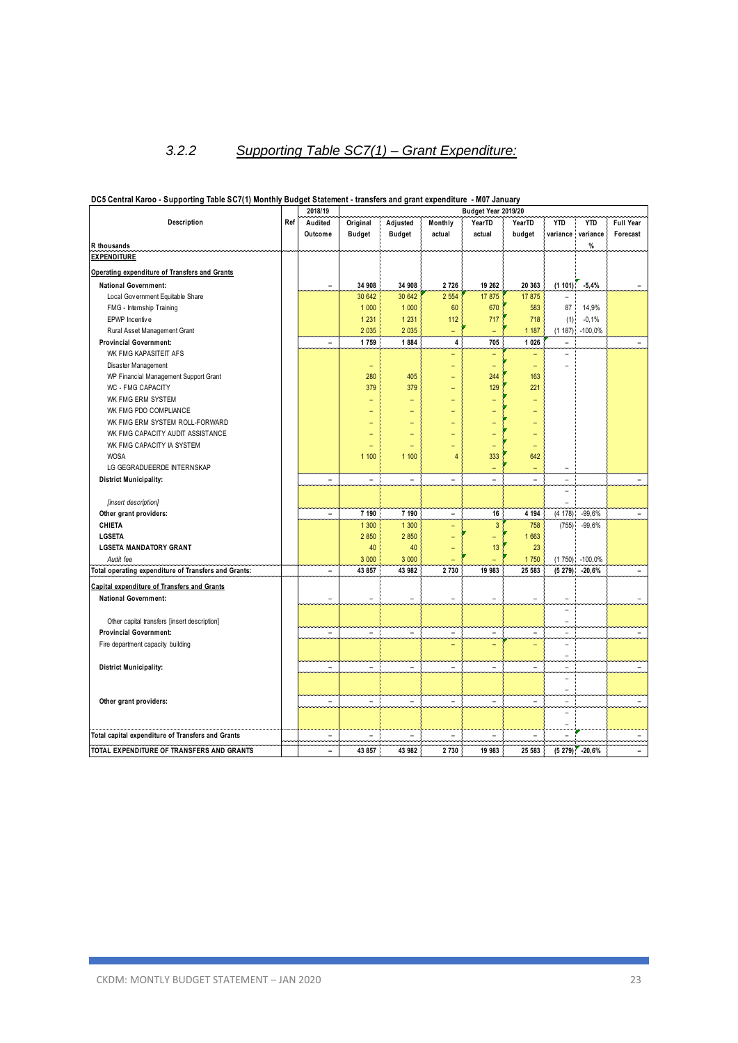### *3.2.2 Supporting Table SC7(1) – Grant Expenditure:*

|                                                         | 2018/19<br>Budget Year 2019/20 |                          |                                |                          |                          |                          |               |                          |                 |                          |
|---------------------------------------------------------|--------------------------------|--------------------------|--------------------------------|--------------------------|--------------------------|--------------------------|---------------|--------------------------|-----------------|--------------------------|
| Description                                             | Ref                            | Audited                  | Original                       | Adjusted                 | Monthly                  | YearTD                   | YearTD        | <b>YTD</b>               | <b>YTD</b>      | <b>Full Year</b>         |
|                                                         |                                | Outcome                  | <b>Budget</b>                  | <b>Budget</b>            | actual                   | actual                   | budget        | variance                 | variance        | Forecast                 |
| R thousands                                             |                                |                          |                                |                          |                          |                          |               |                          | %               |                          |
| <b>EXPENDITURE</b>                                      |                                |                          |                                |                          |                          |                          |               |                          |                 |                          |
| Operating expenditure of Transfers and Grants           |                                |                          |                                |                          |                          |                          |               |                          |                 |                          |
| <b>National Government:</b>                             |                                | $\blacksquare$           | 34 908                         | 34 908                   | 2 7 2 6                  | 19 26 2                  | 20 363        | (1101)                   | $-5,4%$         |                          |
| Local Gov ernment Equitable Share                       |                                |                          | 30 642                         | 30 642                   | 2 5 5 4                  | 17875                    | 17875         |                          |                 |                          |
| FMG - Internship Training                               |                                |                          | 1 0 0 0                        | 1 0 0 0                  | 60                       | 670                      | 583           | 87                       | 14,9%           |                          |
| EPWP Incentive                                          |                                |                          | 1 2 3 1                        | 1 2 3 1                  | 112                      | 717                      | 718           | (1)                      | $-0,1%$         |                          |
| Rural Asset Management Grant                            |                                |                          | 2 0 3 5                        | 2 0 3 5                  | $\equiv$                 | $\overline{\phantom{0}}$ | 1 1 8 7       | (1 187)                  | $-100,0%$       |                          |
| <b>Provincial Government:</b>                           |                                | $\equiv$                 | 1759                           | 1884                     | 4                        | 705                      | 1 0 26        | $\blacksquare$           |                 | ÷.                       |
| WK FMG KAPASITEIT AFS                                   |                                |                          |                                |                          | ۳                        | $\overline{\phantom{0}}$ |               | ÷                        |                 |                          |
| Disaster Management                                     |                                |                          |                                |                          | Ξ                        | ÷,                       | L,            | L,                       |                 |                          |
| WP Financial Management Support Grant                   |                                |                          | 280                            | 405                      | ÷                        | 244                      | 163           |                          |                 |                          |
| WC - FMG CAPACITY                                       |                                |                          | 379                            | 379                      | ÷                        | 129                      | 221           |                          |                 |                          |
| WK FMG ERM SYSTEM                                       |                                |                          |                                |                          |                          |                          |               |                          |                 |                          |
|                                                         |                                |                          |                                | Ξ                        |                          |                          |               |                          |                 |                          |
| WK FMG PDO COMPLIANCE<br>WK FMG ERM SYSTEM ROLL-FORWARD |                                |                          | $\overline{\phantom{0}}$<br>Ē. | ۳<br>۳                   | $\overline{a}$           |                          | -             |                          |                 |                          |
|                                                         |                                |                          |                                |                          |                          |                          |               |                          |                 |                          |
| WK FMG CAPACITY AUDIT ASSISTANCE                        |                                |                          | Ē.                             | ۳                        |                          |                          | -             |                          |                 |                          |
| WK FMG CAPACITY IA SYSTEM                               |                                |                          |                                |                          | $\overline{a}$           | ۳                        | -             |                          |                 |                          |
| <b>WOSA</b>                                             |                                |                          | 1 100                          | 1 100                    | $\overline{4}$           | 333                      | 642           |                          |                 |                          |
| LG GEGRADUEERDE INTERNSKAP                              |                                |                          |                                |                          |                          | Ξ                        |               | $\overline{\phantom{0}}$ |                 |                          |
| <b>District Municipality:</b>                           |                                | $\equiv$                 | $\equiv$                       | $\equiv$                 | $\equiv$                 | ۳                        | $\equiv$      | ÷                        |                 | $\overline{\phantom{0}}$ |
|                                                         |                                |                          |                                |                          |                          |                          |               | $\overline{\phantom{0}}$ |                 |                          |
| [insert description]                                    |                                |                          |                                |                          |                          |                          |               | L,                       |                 |                          |
| Other grant providers:                                  |                                | ÷                        | 7 190                          | 7 190                    | $\blacksquare$           | 16                       | 4 1 9 4       | (4 178)                  | $-99,6%$        |                          |
| CHIETA                                                  |                                |                          | 1 300                          | 1 300                    | ۳                        | 3                        | 758           | (755)                    | $-99,6%$        |                          |
| LGSETA                                                  |                                |                          | 2 8 5 0                        | 2850                     | ٠                        | $\overline{\phantom{0}}$ | 1663          |                          |                 |                          |
| <b>LGSETA MANDATORY GRANT</b>                           |                                |                          | 40                             | 40                       |                          | 13                       | 23            |                          |                 |                          |
| Audit fee                                               |                                |                          | 3 0 0 0                        | 3 0 0 0                  |                          |                          | 1750          | (1750)                   | $-100,0%$       |                          |
| Total operating expenditure of Transfers and Grants:    |                                | $\blacksquare$           | 43 857                         | 43 982                   | 2 7 3 0                  | 19 983                   | 25 583        | (5279)                   | $-20,6%$        |                          |
| Capital expenditure of Transfers and Grants             |                                |                          |                                |                          |                          |                          |               |                          |                 |                          |
| <b>National Government:</b>                             |                                | $\overline{\phantom{a}}$ | ÷                              | $\overline{\phantom{a}}$ | L.                       | L.                       | ÷             | ۰                        |                 |                          |
|                                                         |                                |                          |                                |                          |                          |                          |               | ۰                        |                 |                          |
| Other capital transfers [insert description]            |                                |                          |                                |                          |                          |                          |               | ÷,                       |                 |                          |
| <b>Provincial Government:</b>                           |                                | $\ddot{\phantom{1}}$     | ÷,                             | $\overline{\phantom{0}}$ | $\ddot{\phantom{1}}$     | ÷,                       | -             | ÷                        |                 |                          |
| Fire department capacity building                       |                                |                          |                                |                          | ۰                        | ۰                        |               | ۰                        |                 |                          |
|                                                         |                                |                          |                                |                          |                          |                          |               | ۳                        |                 |                          |
| <b>District Municipality:</b>                           |                                | $\blacksquare$           | ÷                              | $\blacksquare$           | $\blacksquare$           | $\overline{\phantom{0}}$ | L.            | ÷                        |                 |                          |
|                                                         |                                |                          |                                |                          |                          |                          |               | L,                       |                 |                          |
|                                                         |                                |                          |                                |                          |                          |                          |               | ÷,                       |                 |                          |
| Other grant providers:                                  |                                | $\overline{\phantom{a}}$ | $\overline{\phantom{a}}$       | $\frac{1}{2}$            | $\overline{\phantom{a}}$ | $\overline{\phantom{a}}$ | $\frac{1}{2}$ | $\overline{\phantom{a}}$ |                 | $\overline{\phantom{a}}$ |
|                                                         |                                |                          |                                |                          |                          |                          |               | ۰                        |                 |                          |
|                                                         |                                |                          |                                |                          |                          |                          |               | ۳                        |                 |                          |
| Total capital expenditure of Transfers and Grants       |                                | $\blacksquare$           |                                | $\overline{\phantom{a}}$ |                          |                          |               |                          |                 |                          |
|                                                         |                                | $\overline{a}$           |                                |                          |                          |                          |               |                          |                 |                          |
| TOTAL EXPENDITURE OF TRANSFERS AND GRANTS               |                                |                          | 43 857                         | 43 982                   | 2 7 3 0                  | 19 983                   | 25 583        |                          | $(5279)$ -20,6% |                          |

#### **DC5 Central Karoo - Supporting Table SC7(1) Monthly Budget Statement - transfers and grant expenditure - M07 January**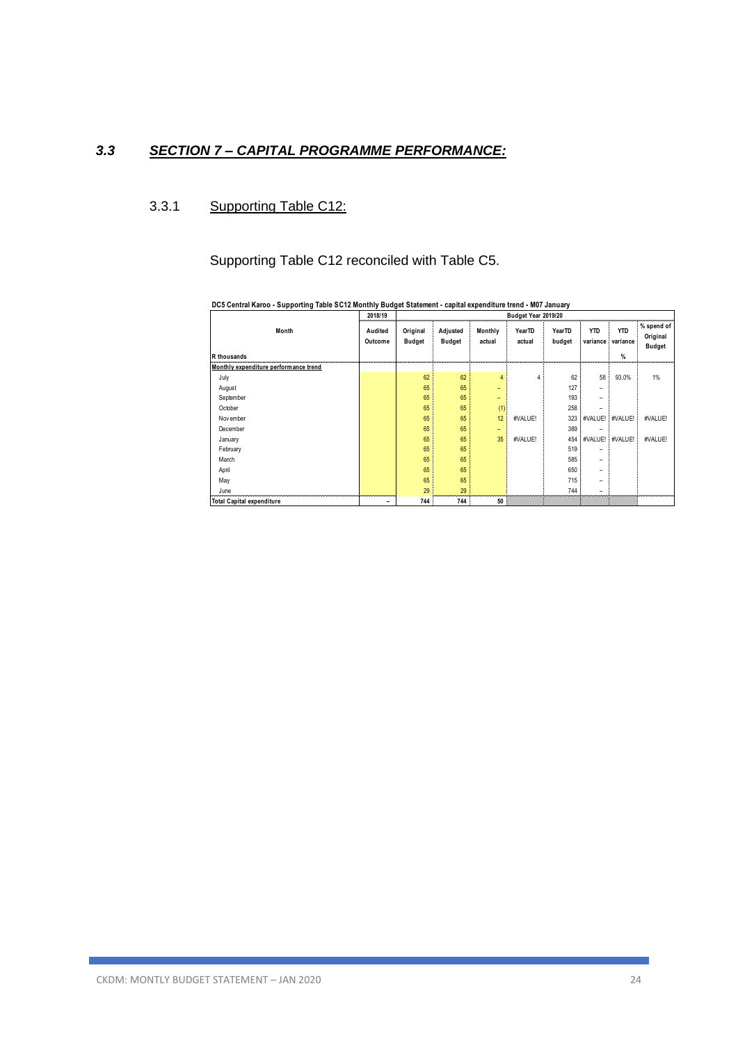### *3.3 SECTION 7 – CAPITAL PROGRAMME PERFORMANCE:*

### 3.3.1 Supporting Table C12:

Supporting Table C12 reconciled with Table C5.

| DOJ OCHTAI RAIOO - OUPPORTHY TADIC OOTE MOHTHY DUUGCI ORACHICHT - CAPITAL CAPCHURULO HOHU - MOT OAHUALY |                    |                           |                           |                          |                              |                  |                          |                             |                                         |
|---------------------------------------------------------------------------------------------------------|--------------------|---------------------------|---------------------------|--------------------------|------------------------------|------------------|--------------------------|-----------------------------|-----------------------------------------|
|                                                                                                         | 2018/19            |                           |                           |                          | Budget Year 2019/20          |                  |                          |                             |                                         |
| Month<br>R thousands                                                                                    | Audited<br>Outcome | Original<br><b>Budget</b> | Adjusted<br><b>Budget</b> | Monthly<br>actual        | Year <sub>TD</sub><br>actual | YearTD<br>budget | <b>YTD</b><br>variance   | <b>YTD</b><br>variance<br>% | % spend of<br>Original<br><b>Budget</b> |
| Monthly expenditure performance trend                                                                   |                    |                           |                           |                          |                              |                  |                          |                             |                                         |
| July                                                                                                    |                    | 62                        | 62                        |                          |                              | 62               | 58                       | 93,0%                       | 1%                                      |
| August                                                                                                  |                    | 65                        | 65                        | $\overline{\phantom{0}}$ |                              | 127              | -                        |                             |                                         |
| September                                                                                               |                    | 65                        | 65                        | $\overline{\phantom{0}}$ |                              | 193              | $\overline{\phantom{0}}$ |                             |                                         |
| October                                                                                                 |                    | 65                        | 65                        | (1)                      |                              | 258              |                          |                             |                                         |
| November                                                                                                |                    | 65                        | 65                        | 12                       | #VALUE!                      | 323              | #VALUE!                  | #VALUE!                     | #VALUE!                                 |
| December                                                                                                |                    | 65                        | 65                        | $\overline{\phantom{0}}$ |                              | 389              | $\overline{\phantom{0}}$ |                             |                                         |
| January                                                                                                 |                    | 65                        | 65                        | 35                       | #VALUE!                      | 454              | #VALUE!                  | #VALUE!                     | #VALUE!                                 |
| February                                                                                                |                    | 65                        | 65                        |                          |                              | 519              |                          |                             |                                         |
| March                                                                                                   |                    | 65                        | 65                        |                          |                              | 585              |                          |                             |                                         |
| April                                                                                                   |                    | 65                        | 65                        |                          |                              | 650              | -                        |                             |                                         |
| May                                                                                                     |                    | 65                        | 65                        |                          |                              | 715              | $\overline{\phantom{0}}$ |                             |                                         |
| June                                                                                                    |                    | 29                        | 29                        |                          |                              | 744              |                          |                             |                                         |
| <b>Total Capital expenditure</b>                                                                        | -                  | 744                       | 744                       | 50                       |                              |                  |                          |                             |                                         |

**DC5 Central Karoo - Supporting Table SC12 Monthly Budget Statement - capital expenditure trend - M07 January**